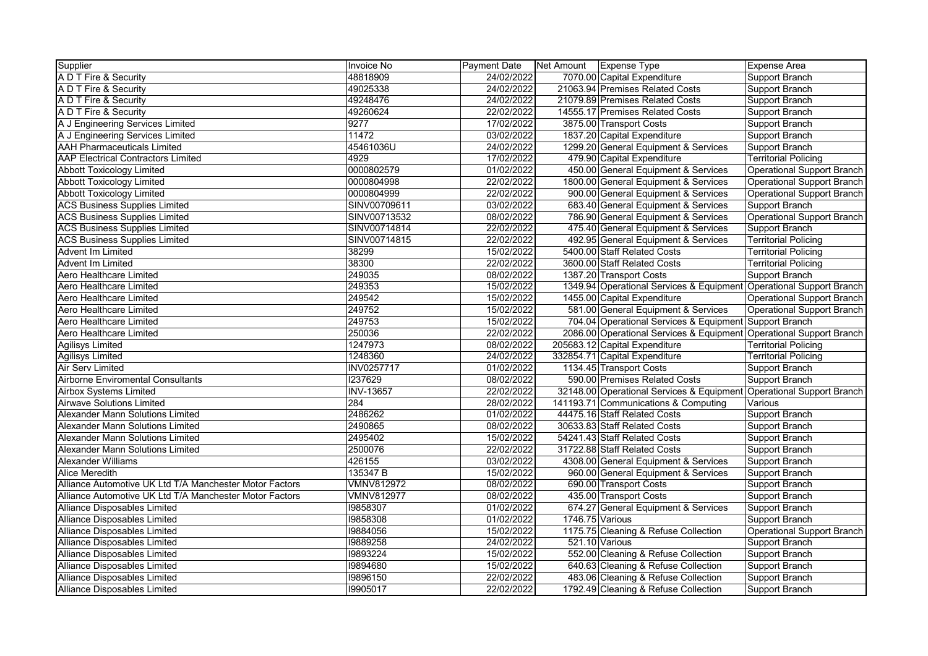| Supplier                                                | <b>Invoice No</b> | <b>Payment Date</b> | Net Amount Expense Type |                                                                      | Expense Area                      |
|---------------------------------------------------------|-------------------|---------------------|-------------------------|----------------------------------------------------------------------|-----------------------------------|
| A D T Fire & Security                                   | 48818909          | 24/02/2022          |                         | 7070.00 Capital Expenditure                                          | Support Branch                    |
| A D T Fire & Security                                   | 49025338          | 24/02/2022          |                         | 21063.94 Premises Related Costs                                      | Support Branch                    |
| A D T Fire & Security                                   | 49248476          | 24/02/2022          |                         | 21079.89 Premises Related Costs                                      | Support Branch                    |
| A D T Fire & Security                                   | 49260624          | 22/02/2022          |                         | 14555.17 Premises Related Costs                                      | Support Branch                    |
| A J Engineering Services Limited                        | 9277              | 17/02/2022          |                         | 3875.00 Transport Costs                                              | Support Branch                    |
| A J Engineering Services Limited                        | 11472             | 03/02/2022          |                         | 1837.20 Capital Expenditure                                          | Support Branch                    |
| <b>AAH Pharmaceuticals Limited</b>                      | 45461036U         | 24/02/2022          |                         | 1299.20 General Equipment & Services                                 | Support Branch                    |
| <b>AAP Electrical Contractors Limited</b>               | 4929              | 17/02/2022          |                         | 479.90 Capital Expenditure                                           | <b>Territorial Policing</b>       |
| <b>Abbott Toxicology Limited</b>                        | 0000802579        | 01/02/2022          |                         | 450.00 General Equipment & Services                                  | <b>Operational Support Branch</b> |
| Abbott Toxicology Limited                               | 0000804998        | 22/02/2022          |                         | 1800.00 General Equipment & Services                                 | Operational Support Branch        |
| <b>Abbott Toxicology Limited</b>                        | 0000804999        | 22/02/2022          |                         | 900.00 General Equipment & Services                                  | Operational Support Branch        |
| <b>ACS Business Supplies Limited</b>                    | SINV00709611      | 03/02/2022          |                         | 683.40 General Equipment & Services                                  | Support Branch                    |
| <b>ACS Business Supplies Limited</b>                    | SINV00713532      | 08/02/2022          |                         | 786.90 General Equipment & Services                                  | Operational Support Branch        |
| <b>ACS Business Supplies Limited</b>                    | SINV00714814      | 22/02/2022          |                         | 475.40 General Equipment & Services                                  | Support Branch                    |
| <b>ACS Business Supplies Limited</b>                    | SINV00714815      | 22/02/2022          |                         | 492.95 General Equipment & Services                                  | <b>Territorial Policing</b>       |
| Advent Im Limited                                       | 38299             | 15/02/2022          |                         | 5400.00 Staff Related Costs                                          | <b>Territorial Policing</b>       |
| Advent Im Limited                                       | 38300             | 22/02/2022          |                         | 3600.00 Staff Related Costs                                          | <b>Territorial Policing</b>       |
| Aero Healthcare Limited                                 | 249035            | 08/02/2022          |                         | 1387.20 Transport Costs                                              | Support Branch                    |
| Aero Healthcare Limited                                 | 249353            | 15/02/2022          |                         | 1349.94 Operational Services & Equipment Operational Support Branch  |                                   |
| Aero Healthcare Limited                                 | 249542            | 15/02/2022          |                         | 1455.00 Capital Expenditure                                          | <b>Operational Support Branch</b> |
| Aero Healthcare Limited                                 | 249752            | 15/02/2022          |                         | 581.00 General Equipment & Services                                  | <b>Operational Support Branch</b> |
| Aero Healthcare Limited                                 | 249753            | 15/02/2022          |                         | 704.04 Operational Services & Equipment Support Branch               |                                   |
| Aero Healthcare Limited                                 | 250036            | 22/02/2022          |                         | 2086.00 Operational Services & Equipment Operational Support Branch  |                                   |
| <b>Agilisys Limited</b>                                 | 1247973           | 08/02/2022          |                         | 205683.12 Capital Expenditure                                        | <b>Territorial Policing</b>       |
| <b>Agilisys Limited</b>                                 | 1248360           | 24/02/2022          |                         | 332854.71 Capital Expenditure                                        | <b>Territorial Policing</b>       |
| Air Serv Limited                                        | <b>INV0257717</b> | 01/02/2022          |                         | 1134.45 Transport Costs                                              | Support Branch                    |
| <b>Airborne Enviromental Consultants</b>                | 1237629           | 08/02/2022          |                         | 590.00 Premises Related Costs                                        | Support Branch                    |
| Airbox Systems Limited                                  | <b>INV-13657</b>  | 22/02/2022          |                         | 32148.00 Operational Services & Equipment Operational Support Branch |                                   |
| <b>Airwave Solutions Limited</b>                        | 284               | 28/02/2022          |                         | 141193.71 Communications & Computing                                 | Various                           |
| Alexander Mann Solutions Limited                        | 2486262           | 01/02/2022          |                         | 44475.16 Staff Related Costs                                         | Support Branch                    |
| Alexander Mann Solutions Limited                        | 2490865           | 08/02/2022          |                         | 30633.83 Staff Related Costs                                         | Support Branch                    |
| <b>Alexander Mann Solutions Limited</b>                 | 2495402           | 15/02/2022          |                         | 54241.43 Staff Related Costs                                         | Support Branch                    |
| Alexander Mann Solutions Limited                        | 2500076           | 22/02/2022          |                         | 31722.88 Staff Related Costs                                         | Support Branch                    |
| Alexander Williams                                      | 426155            | 03/02/2022          |                         | 4308.00 General Equipment & Services                                 | Support Branch                    |
| <b>Alice Meredith</b>                                   | 135347 B          | 15/02/2022          |                         | 960.00 General Equipment & Services                                  | Support Branch                    |
| Alliance Automotive UK Ltd T/A Manchester Motor Factors | <b>VMNV812972</b> | 08/02/2022          |                         | 690.00 Transport Costs                                               | Support Branch                    |
| Alliance Automotive UK Ltd T/A Manchester Motor Factors | <b>VMNV812977</b> | 08/02/2022          |                         | 435.00 Transport Costs                                               | Support Branch                    |
| <b>Alliance Disposables Limited</b>                     | 19858307          | 01/02/2022          |                         | 674.27 General Equipment & Services                                  | Support Branch                    |
| <b>Alliance Disposables Limited</b>                     | 19858308          | 01/02/2022          | 1746.75 Various         |                                                                      | Support Branch                    |
| Alliance Disposables Limited                            | 19884056          | 15/02/2022          |                         | 1175.75 Cleaning & Refuse Collection                                 | Operational Support Branch        |
| Alliance Disposables Limited                            | 19889258          | 24/02/2022          |                         | 521.10 Various                                                       | <b>Support Branch</b>             |
| Alliance Disposables Limited                            | 19893224          | 15/02/2022          |                         | 552.00 Cleaning & Refuse Collection                                  | Support Branch                    |
| Alliance Disposables Limited                            | 19894680          | 15/02/2022          |                         | 640.63 Cleaning & Refuse Collection                                  | Support Branch                    |
| Alliance Disposables Limited                            | 19896150          | 22/02/2022          |                         | 483.06 Cleaning & Refuse Collection                                  | Support Branch                    |
| Alliance Disposables Limited                            | 19905017          | 22/02/2022          |                         | 1792.49 Cleaning & Refuse Collection                                 | Support Branch                    |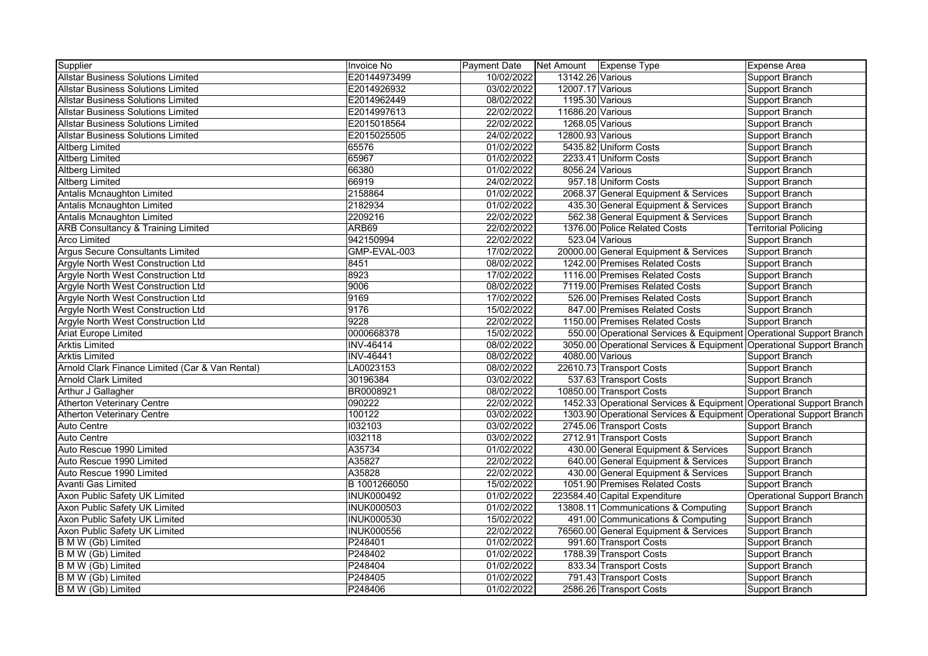| Supplier                                        | <b>Invoice No</b> | <b>Payment Date</b> | Net Amount   Expense Type |                                                                     | Expense Area                      |
|-------------------------------------------------|-------------------|---------------------|---------------------------|---------------------------------------------------------------------|-----------------------------------|
| <b>Allstar Business Solutions Limited</b>       | E20144973499      | 10/02/2022          | 13142.26 Various          |                                                                     | Support Branch                    |
| <b>Allstar Business Solutions Limited</b>       | E2014926932       | 03/02/2022          | 12007.17 Various          |                                                                     | Support Branch                    |
| <b>Allstar Business Solutions Limited</b>       | E2014962449       | 08/02/2022          | 1195.30 Various           |                                                                     | Support Branch                    |
| <b>Allstar Business Solutions Limited</b>       | E2014997613       | 22/02/2022          | 11686.20 Various          |                                                                     | Support Branch                    |
| <b>Allstar Business Solutions Limited</b>       | E2015018564       | 22/02/2022          | 1268.05 Various           |                                                                     | Support Branch                    |
| <b>Allstar Business Solutions Limited</b>       | E2015025505       | 24/02/2022          | 12800.93 Various          |                                                                     | Support Branch                    |
| <b>Altberg Limited</b>                          | 65576             | 01/02/2022          |                           | 5435.82 Uniform Costs                                               | Support Branch                    |
| <b>Altberg Limited</b>                          | 65967             | 01/02/2022          |                           | 2233.41 Uniform Costs                                               | Support Branch                    |
| <b>Altberg Limited</b>                          | 66380             | 01/02/2022          | 8056.24 Various           |                                                                     | Support Branch                    |
| <b>Altberg Limited</b>                          | 66919             | 24/02/2022          |                           | 957.18 Uniform Costs                                                | Support Branch                    |
| Antalis Mcnaughton Limited                      | 2158864           | 01/02/2022          |                           | 2068.37 General Equipment & Services                                | Support Branch                    |
| Antalis Mcnaughton Limited                      | 2182934           | 01/02/2022          |                           | 435.30 General Equipment & Services                                 | Support Branch                    |
| Antalis Mcnaughton Limited                      | 2209216           | 22/02/2022          |                           | 562.38 General Equipment & Services                                 | Support Branch                    |
| <b>ARB Consultancy &amp; Training Limited</b>   | ARB69             | 22/02/2022          |                           | 1376.00 Police Related Costs                                        | <b>Territorial Policing</b>       |
| <b>Arco Limited</b>                             | 942150994         | 22/02/2022          |                           | 523.04 Various                                                      | Support Branch                    |
| <b>Argus Secure Consultants Limited</b>         | GMP-EVAL-003      | 17/02/2022          |                           | 20000.00 General Equipment & Services                               | Support Branch                    |
| Argyle North West Construction Ltd              | 8451              | 08/02/2022          |                           | 1242.00 Premises Related Costs                                      | Support Branch                    |
| Argyle North West Construction Ltd              | 8923              | 17/02/2022          |                           | 1116.00 Premises Related Costs                                      | Support Branch                    |
| Argyle North West Construction Ltd              | 9006              | 08/02/2022          |                           | 7119.00 Premises Related Costs                                      | Support Branch                    |
| Argyle North West Construction Ltd              | 9169              | 17/02/2022          |                           | 526.00 Premises Related Costs                                       | Support Branch                    |
| Argyle North West Construction Ltd              | 9176              | 15/02/2022          |                           | 847.00 Premises Related Costs                                       | Support Branch                    |
| Argyle North West Construction Ltd              | 9228              | 22/02/2022          |                           | 1150.00 Premises Related Costs                                      | Support Branch                    |
| <b>Ariat Europe Limited</b>                     | 0000668378        | 15/02/2022          |                           | 550.00 Operational Services & Equipment Operational Support Branch  |                                   |
| <b>Arktis Limited</b>                           | <b>INV-46414</b>  | 08/02/2022          |                           | 3050.00 Operational Services & Equipment Operational Support Branch |                                   |
| <b>Arktis Limited</b>                           | INV-46441         | 08/02/2022          | 4080.00 Various           |                                                                     | Support Branch                    |
| Arnold Clark Finance Limited (Car & Van Rental) | LA0023153         | 08/02/2022          |                           | 22610.73 Transport Costs                                            | Support Branch                    |
| <b>Arnold Clark Limited</b>                     | 30196384          | 03/02/2022          |                           | 537.63 Transport Costs                                              | Support Branch                    |
| Arthur J Gallagher                              | BR0008921         | 08/02/2022          |                           | 10850.00 Transport Costs                                            | Support Branch                    |
| <b>Atherton Veterinary Centre</b>               | 090222            | 22/02/2022          |                           | 1452.33 Operational Services & Equipment Operational Support Branch |                                   |
| <b>Atherton Veterinary Centre</b>               | 100122            | 03/02/2022          |                           | 1303.90 Operational Services & Equipment Operational Support Branch |                                   |
| <b>Auto Centre</b>                              | 1032103           | 03/02/2022          |                           | 2745.06 Transport Costs                                             | Support Branch                    |
| Auto Centre                                     | 1032118           | 03/02/2022          |                           | 2712.91 Transport Costs                                             | Support Branch                    |
| Auto Rescue 1990 Limited                        | A35734            | 01/02/2022          |                           | 430.00 General Equipment & Services                                 | Support Branch                    |
| Auto Rescue 1990 Limited                        | A35827            | 22/02/2022          |                           | 640.00 General Equipment & Services                                 | Support Branch                    |
| Auto Rescue 1990 Limited                        | A35828            | 22/02/2022          |                           | 430.00 General Equipment & Services                                 | Support Branch                    |
| <b>Avanti Gas Limited</b>                       | B 1001266050      | 15/02/2022          |                           | 1051.90 Premises Related Costs                                      | Support Branch                    |
| Axon Public Safety UK Limited                   | <b>INUK000492</b> | 01/02/2022          |                           | 223584.40 Capital Expenditure                                       | <b>Operational Support Branch</b> |
| Axon Public Safety UK Limited                   | <b>INUK000503</b> | 01/02/2022          |                           | 13808.11 Communications & Computing                                 | Support Branch                    |
| Axon Public Safety UK Limited                   | <b>INUK000530</b> | 15/02/2022          |                           | 491.00 Communications & Computing                                   | Support Branch                    |
| Axon Public Safety UK Limited                   | <b>INUK000556</b> | 22/02/2022          |                           | 76560.00 General Equipment & Services                               | Support Branch                    |
| <b>B M W (Gb) Limited</b>                       | P248401           | 01/02/2022          |                           | 991.60 Transport Costs                                              | Support Branch                    |
| B M W (Gb) Limited                              | P248402           | 01/02/2022          |                           | 1788.39 Transport Costs                                             | Support Branch                    |
| B M W (Gb) Limited                              | P248404           | 01/02/2022          |                           | 833.34 Transport Costs                                              | Support Branch                    |
| B M W (Gb) Limited                              | P248405           | 01/02/2022          |                           | 791.43 Transport Costs                                              | Support Branch                    |
| B M W (Gb) Limited                              | P248406           | 01/02/2022          |                           | 2586.26 Transport Costs                                             | Support Branch                    |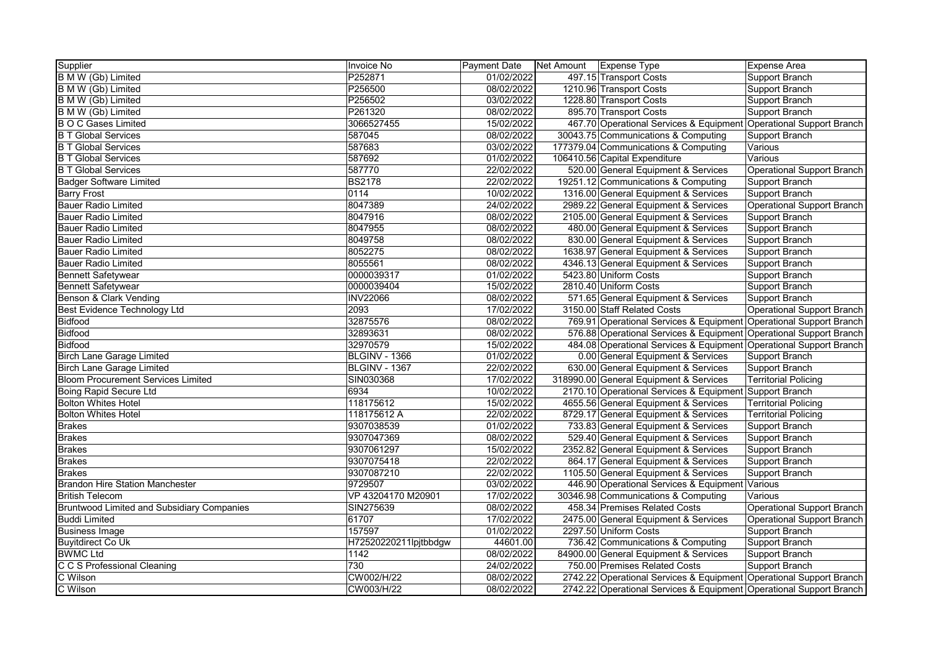| Supplier                                   | Invoice No            | Payment Date | Net Amount Expense Type |                                                                     | <b>Expense Area</b>               |
|--------------------------------------------|-----------------------|--------------|-------------------------|---------------------------------------------------------------------|-----------------------------------|
| B M W (Gb) Limited                         | P252871               | 01/02/2022   |                         | 497.15 Transport Costs                                              | Support Branch                    |
| B M W (Gb) Limited                         | P256500               | 08/02/2022   |                         | 1210.96 Transport Costs                                             | Support Branch                    |
| B M W (Gb) Limited                         | P256502               | 03/02/2022   |                         | 1228.80 Transport Costs                                             | Support Branch                    |
| B M W (Gb) Limited                         | P261320               | 08/02/2022   |                         | 895.70 Transport Costs                                              | Support Branch                    |
| <b>B O C Gases Limited</b>                 | 3066527455            | 15/02/2022   |                         | 467.70 Operational Services & Equipment                             | Operational Support Branch        |
| <b>B T Global Services</b>                 | 587045                | 08/02/2022   |                         | 30043.75 Communications & Computing                                 | Support Branch                    |
| <b>B T Global Services</b>                 | 587683                | 03/02/2022   |                         | 177379.04 Communications & Computing                                | Various                           |
| <b>B T Global Services</b>                 | 587692                | 01/02/2022   |                         | 106410.56 Capital Expenditure                                       | Various                           |
| <b>B T Global Services</b>                 | 587770                | 22/02/2022   |                         | 520.00 General Equipment & Services                                 | <b>Operational Support Branch</b> |
| <b>Badger Software Limited</b>             | <b>BS2178</b>         | 22/02/2022   |                         | 19251.12 Communications & Computing                                 | Support Branch                    |
| <b>Barry Frost</b>                         | 0114                  | 10/02/2022   |                         | 1316.00 General Equipment & Services                                | Support Branch                    |
| <b>Bauer Radio Limited</b>                 | 8047389               | 24/02/2022   |                         | 2989.22 General Equipment & Services                                | <b>Operational Support Branch</b> |
| <b>Bauer Radio Limited</b>                 | 8047916               | 08/02/2022   |                         | 2105.00 General Equipment & Services                                | Support Branch                    |
| <b>Bauer Radio Limited</b>                 | 8047955               | 08/02/2022   |                         | 480.00 General Equipment & Services                                 | Support Branch                    |
| <b>Bauer Radio Limited</b>                 | 8049758               | 08/02/2022   |                         | 830.00 General Equipment & Services                                 | <b>Support Branch</b>             |
| <b>Bauer Radio Limited</b>                 | 8052275               | 08/02/2022   |                         | 1638.97 General Equipment & Services                                | Support Branch                    |
| <b>Bauer Radio Limited</b>                 | 8055561               | 08/02/2022   |                         | 4346.13 General Equipment & Services                                | Support Branch                    |
| <b>Bennett Safetywear</b>                  | 0000039317            | 01/02/2022   |                         | 5423.80 Uniform Costs                                               | Support Branch                    |
| <b>Bennett Safetywear</b>                  | 0000039404            | 15/02/2022   |                         | 2810.40 Uniform Costs                                               | Support Branch                    |
| <b>Benson &amp; Clark Vending</b>          | <b>INV22066</b>       | 08/02/2022   |                         | 571.65 General Equipment & Services                                 | Support Branch                    |
| <b>Best Evidence Technology Ltd</b>        | 2093                  | 17/02/2022   |                         | 3150.00 Staff Related Costs                                         | <b>Operational Support Branch</b> |
| Bidfood                                    | 32875576              | 08/02/2022   |                         | 769.91 Operational Services & Equipment Operational Support Branch  |                                   |
| Bidfood                                    | 32893631              | 08/02/2022   |                         | 576.88 Operational Services & Equipment Operational Support Branch  |                                   |
| <b>Bidfood</b>                             | 32970579              | 15/02/2022   |                         | 484.08 Operational Services & Equipment Operational Support Branch  |                                   |
| <b>Birch Lane Garage Limited</b>           | BLGINV - 1366         | 01/02/2022   |                         | 0.00 General Equipment & Services                                   | Support Branch                    |
| <b>Birch Lane Garage Limited</b>           | BLGINV - 1367         | 22/02/2022   |                         | 630.00 General Equipment & Services                                 | Support Branch                    |
| <b>Bloom Procurement Services Limited</b>  | SIN030368             | 17/02/2022   |                         | 318990.00 General Equipment & Services                              | <b>Territorial Policing</b>       |
| <b>Boing Rapid Secure Ltd</b>              | 6934                  | 10/02/2022   |                         | 2170.10 Operational Services & Equipment Support Branch             |                                   |
| <b>Bolton Whites Hotel</b>                 | 118175612             | 15/02/2022   |                         | 4655.56 General Equipment & Services                                | <b>Territorial Policing</b>       |
| <b>Bolton Whites Hotel</b>                 | 118175612 A           | 22/02/2022   |                         | 8729.17 General Equipment & Services                                | <b>Territorial Policing</b>       |
| <b>Brakes</b>                              | 9307038539            | 01/02/2022   |                         | 733.83 General Equipment & Services                                 | Support Branch                    |
| <b>Brakes</b>                              | 9307047369            | 08/02/2022   |                         | 529.40 General Equipment & Services                                 | Support Branch                    |
| <b>Brakes</b>                              | 9307061297            | 15/02/2022   |                         | 2352.82 General Equipment & Services                                | Support Branch                    |
| <b>Brakes</b>                              | 9307075418            | 22/02/2022   |                         | 864.17 General Equipment & Services                                 | Support Branch                    |
| <b>Brakes</b>                              | 9307087210            | 22/02/2022   |                         | 1105.50 General Equipment & Services                                | Support Branch                    |
| <b>Brandon Hire Station Manchester</b>     | 9729507               | 03/02/2022   |                         | 446.90 Operational Services & Equipment                             | Various                           |
| <b>British Telecom</b>                     | VP 43204170 M20901    | 17/02/2022   |                         | 30346.98 Communications & Computing                                 | Various                           |
| Bruntwood Limited and Subsidiary Companies | SIN275639             | 08/02/2022   |                         | 458.34 Premises Related Costs                                       | <b>Operational Support Branch</b> |
| <b>Buddi Limited</b>                       | 61707                 | 17/02/2022   |                         | 2475.00 General Equipment & Services                                | <b>Operational Support Branch</b> |
| <b>Business Image</b>                      | 157597                | 01/02/2022   |                         | 2297.50 Uniform Costs                                               | Support Branch                    |
| <b>Buyitdirect Co Uk</b>                   | H72520220211lpjtbbdgw | 44601.00     |                         | 736.42 Communications & Computing                                   | Support Branch                    |
| <b>BWMC Ltd</b>                            | 1142                  | 08/02/2022   |                         | 84900.00 General Equipment & Services                               | Support Branch                    |
| C C S Professional Cleaning                | 730                   | 24/02/2022   |                         | 750.00 Premises Related Costs                                       | Support Branch                    |
| C Wilson                                   | CW002/H/22            | 08/02/2022   |                         | 2742.22 Operational Services & Equipment Operational Support Branch |                                   |
| C Wilson                                   | CW003/H/22            | 08/02/2022   |                         | 2742.22 Operational Services & Equipment Operational Support Branch |                                   |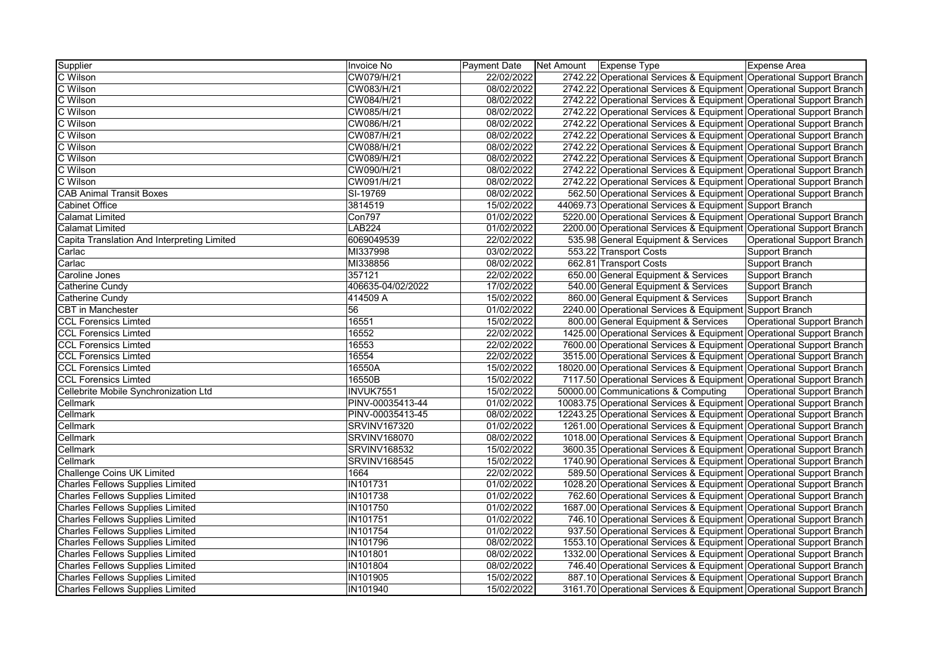| Supplier                                    | Invoice No          | <b>Payment Date</b> | Net Amount Expense Type                                              | Expense Area               |
|---------------------------------------------|---------------------|---------------------|----------------------------------------------------------------------|----------------------------|
| C Wilson                                    | CW079/H/21          | 22/02/2022          | 2742.22 Operational Services & Equipment Operational Support Branch  |                            |
| C Wilson                                    | CW083/H/21          | 08/02/2022          | 2742.22 Operational Services & Equipment Operational Support Branch  |                            |
| C Wilson                                    | CW084/H/21          | 08/02/2022          | 2742.22 Operational Services & Equipment Operational Support Branch  |                            |
| C Wilson                                    | CW085/H/21          | 08/02/2022          | 2742.22 Operational Services & Equipment Operational Support Branch  |                            |
| C Wilson                                    | CW086/H/21          | 08/02/2022          | 2742.22 Operational Services & Equipment Operational Support Branch  |                            |
| C Wilson                                    | CW087/H/21          | 08/02/2022          | 2742.22 Operational Services & Equipment Operational Support Branch  |                            |
| C Wilson                                    | CW088/H/21          | 08/02/2022          | 2742.22 Operational Services & Equipment Operational Support Branch  |                            |
| C Wilson                                    | CW089/H/21          | 08/02/2022          | 2742.22 Operational Services & Equipment Operational Support Branch  |                            |
| C Wilson                                    | CW090/H/21          | 08/02/2022          | 2742.22 Operational Services & Equipment Operational Support Branch  |                            |
| C Wilson                                    | CW091/H/21          | 08/02/2022          | 2742.22 Operational Services & Equipment Operational Support Branch  |                            |
| <b>CAB Animal Transit Boxes</b>             | SI-19769            | 08/02/2022          | 562.50 Operational Services & Equipment Operational Support Branch   |                            |
| <b>Cabinet Office</b>                       | 3814519             | 15/02/2022          | 44069.73 Operational Services & Equipment Support Branch             |                            |
| <b>Calamat Limited</b>                      | <b>Con797</b>       | 01/02/2022          | 5220.00 Operational Services & Equipment Operational Support Branch  |                            |
| <b>Calamat Limited</b>                      | <b>LAB224</b>       | 01/02/2022          | 2200.00 Operational Services & Equipment Operational Support Branch  |                            |
| Capita Translation And Interpreting Limited | 6069049539          | 22/02/2022          | 535.98 General Equipment & Services                                  | Operational Support Branch |
| Carlac                                      | MI337998            | 03/02/2022          | 553.22 Transport Costs                                               | Support Branch             |
| Carlac                                      | MI338856            | 08/02/2022          | 662.81 Transport Costs                                               | Support Branch             |
| Caroline Jones                              | 357121              | 22/02/2022          | 650.00 General Equipment & Services                                  | Support Branch             |
| Catherine Cundy                             | 406635-04/02/2022   | 17/02/2022          | 540.00 General Equipment & Services                                  | Support Branch             |
| Catherine Cundy                             | 414509 A            | 15/02/2022          | 860.00 General Equipment & Services                                  | Support Branch             |
| <b>CBT in Manchester</b>                    | 56                  | 01/02/2022          | 2240.00 Operational Services & Equipment Support Branch              |                            |
| <b>CCL Forensics Limted</b>                 | 16551               | 15/02/2022          | 800.00 General Equipment & Services                                  | Operational Support Branch |
| <b>CCL Forensics Limted</b>                 | 16552               | 22/02/2022          | 1425.00 Operational Services & Equipment Operational Support Branch  |                            |
| <b>CCL Forensics Limted</b>                 | 16553               | 22/02/2022          | 7600.00 Operational Services & Equipment Operational Support Branch  |                            |
| <b>CCL Forensics Limted</b>                 | 16554               | 22/02/2022          | 3515.00 Operational Services & Equipment Operational Support Branch  |                            |
| <b>CCL Forensics Limted</b>                 | 16550A              | 15/02/2022          | 18020.00 Operational Services & Equipment Operational Support Branch |                            |
| <b>CCL Forensics Limted</b>                 | 16550B              | 15/02/2022          | 7117.50 Operational Services & Equipment Operational Support Branch  |                            |
| Cellebrite Mobile Synchronization Ltd       | INVUK7551           | 15/02/2022          | 50000.00 Communications & Computing                                  | Operational Support Branch |
| Cellmark                                    | PINV-00035413-44    | 01/02/2022          | 10083.75 Operational Services & Equipment Operational Support Branch |                            |
| Cellmark                                    | PINV-00035413-45    | 08/02/2022          | 12243.25 Operational Services & Equipment Operational Support Branch |                            |
| Cellmark                                    | <b>SRVINV167320</b> | 01/02/2022          | 1261.00 Operational Services & Equipment Operational Support Branch  |                            |
| Cellmark                                    | <b>SRVINV168070</b> | 08/02/2022          | 1018.00 Operational Services & Equipment Operational Support Branch  |                            |
| Cellmark                                    | <b>SRVINV168532</b> | 15/02/2022          | 3600.35 Operational Services & Equipment Operational Support Branch  |                            |
| Cellmark                                    | <b>SRVINV168545</b> | 15/02/2022          | 1740.90 Operational Services & Equipment Operational Support Branch  |                            |
| <b>Challenge Coins UK Limited</b>           | 1664                | 22/02/2022          | 589.50 Operational Services & Equipment Operational Support Branch   |                            |
| <b>Charles Fellows Supplies Limited</b>     | <b>IN101731</b>     | 01/02/2022          | 1028.20 Operational Services & Equipment Operational Support Branch  |                            |
| <b>Charles Fellows Supplies Limited</b>     | IN101738            | 01/02/2022          | 762.60 Operational Services & Equipment Operational Support Branch   |                            |
| <b>Charles Fellows Supplies Limited</b>     | <b>IN101750</b>     | 01/02/2022          | 1687.00 Operational Services & Equipment Operational Support Branch  |                            |
| <b>Charles Fellows Supplies Limited</b>     | <b>IN101751</b>     | 01/02/2022          | 746.10 Operational Services & Equipment Operational Support Branch   |                            |
| <b>Charles Fellows Supplies Limited</b>     | <b>IN101754</b>     | 01/02/2022          | 937.50 Operational Services & Equipment Operational Support Branch   |                            |
| <b>Charles Fellows Supplies Limited</b>     | <b>IN101796</b>     | 08/02/2022          | 1553.10 Operational Services & Equipment Operational Support Branch  |                            |
| <b>Charles Fellows Supplies Limited</b>     | IN101801            | 08/02/2022          | 1332.00 Operational Services & Equipment Operational Support Branch  |                            |
| <b>Charles Fellows Supplies Limited</b>     | <b>IN101804</b>     | 08/02/2022          | 746.40 Operational Services & Equipment Operational Support Branch   |                            |
| <b>Charles Fellows Supplies Limited</b>     | IN101905            | 15/02/2022          | 887.10 Operational Services & Equipment Operational Support Branch   |                            |
| <b>Charles Fellows Supplies Limited</b>     | IN101940            | 15/02/2022          | 3161.70 Operational Services & Equipment Operational Support Branch  |                            |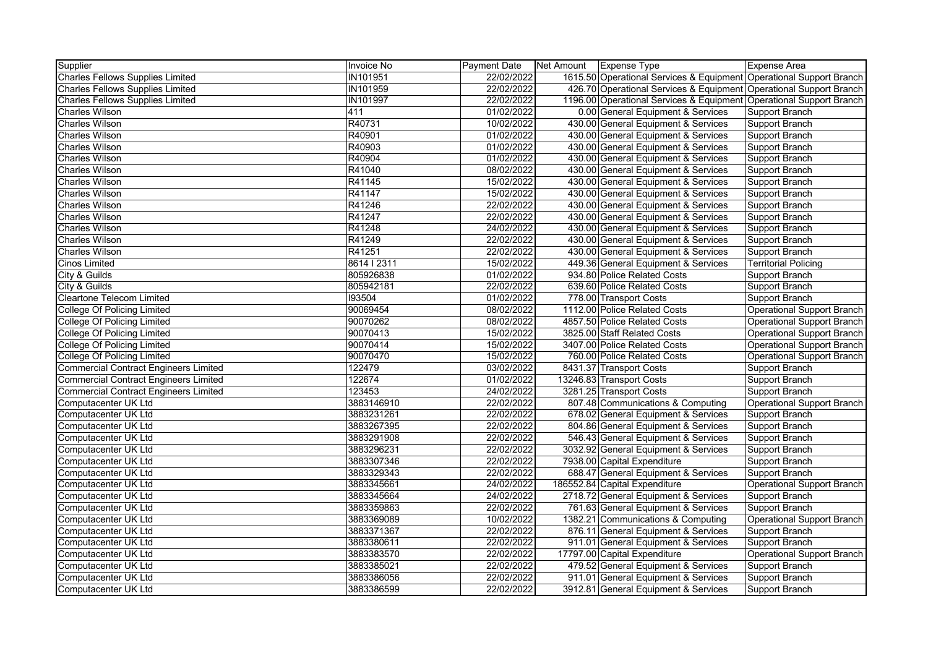| Supplier                                     | <b>Invoice No</b> | <b>Payment Date</b> | Net Amount   Expense Type |                                                                     | Expense Area                      |
|----------------------------------------------|-------------------|---------------------|---------------------------|---------------------------------------------------------------------|-----------------------------------|
| <b>Charles Fellows Supplies Limited</b>      | <b>IN101951</b>   | 22/02/2022          |                           | 1615.50 Operational Services & Equipment Operational Support Branch |                                   |
| <b>Charles Fellows Supplies Limited</b>      | IN101959          | 22/02/2022          |                           | 426.70 Operational Services & Equipment Operational Support Branch  |                                   |
| <b>Charles Fellows Supplies Limited</b>      | <b>IN101997</b>   | 22/02/2022          |                           | 1196.00 Operational Services & Equipment Operational Support Branch |                                   |
| <b>Charles Wilson</b>                        | 411               | 01/02/2022          |                           | 0.00 General Equipment & Services                                   | Support Branch                    |
| <b>Charles Wilson</b>                        | R40731            | 10/02/2022          |                           | 430.00 General Equipment & Services                                 | Support Branch                    |
| <b>Charles Wilson</b>                        | R40901            | 01/02/2022          |                           | 430.00 General Equipment & Services                                 | Support Branch                    |
| <b>Charles Wilson</b>                        | R40903            | 01/02/2022          |                           | 430.00 General Equipment & Services                                 | Support Branch                    |
| <b>Charles Wilson</b>                        | R40904            | 01/02/2022          |                           | 430.00 General Equipment & Services                                 | Support Branch                    |
| <b>Charles Wilson</b>                        | R41040            | 08/02/2022          |                           | 430.00 General Equipment & Services                                 | Support Branch                    |
| <b>Charles Wilson</b>                        | R41145            | 15/02/2022          |                           | 430.00 General Equipment & Services                                 | Support Branch                    |
| <b>Charles Wilson</b>                        | R41147            | 15/02/2022          |                           | 430.00 General Equipment & Services                                 | Support Branch                    |
| <b>Charles Wilson</b>                        | R41246            | 22/02/2022          |                           | 430.00 General Equipment & Services                                 | Support Branch                    |
| <b>Charles Wilson</b>                        | R41247            | 22/02/2022          |                           | 430.00 General Equipment & Services                                 | Support Branch                    |
| <b>Charles Wilson</b>                        | R41248            | 24/02/2022          |                           | 430.00 General Equipment & Services                                 | Support Branch                    |
| <b>Charles Wilson</b>                        | R41249            | 22/02/2022          |                           | 430.00 General Equipment & Services                                 | <b>Support Branch</b>             |
| <b>Charles Wilson</b>                        | R41251            | 22/02/2022          |                           | 430.00 General Equipment & Services                                 | Support Branch                    |
| <b>Cinos Limited</b>                         | 8614   2311       | 15/02/2022          |                           | 449.36 General Equipment & Services                                 | <b>Territorial Policing</b>       |
| City & Guilds                                | 805926838         | 01/02/2022          |                           | 934.80 Police Related Costs                                         | <b>Support Branch</b>             |
| City & Guilds                                | 805942181         | 22/02/2022          |                           | 639.60 Police Related Costs                                         | <b>Support Branch</b>             |
| <b>Cleartone Telecom Limited</b>             | 193504            | 01/02/2022          |                           | 778.00 Transport Costs                                              | Support Branch                    |
| <b>College Of Policing Limited</b>           | 90069454          | 08/02/2022          |                           | 1112.00 Police Related Costs                                        | <b>Operational Support Branch</b> |
| <b>College Of Policing Limited</b>           | 90070262          | 08/02/2022          |                           | 4857.50 Police Related Costs                                        | <b>Operational Support Branch</b> |
| <b>College Of Policing Limited</b>           | 90070413          | 15/02/2022          |                           | 3825.00 Staff Related Costs                                         | <b>Operational Support Branch</b> |
| <b>College Of Policing Limited</b>           | 90070414          | 15/02/2022          |                           | 3407.00 Police Related Costs                                        | <b>Operational Support Branch</b> |
| <b>College Of Policing Limited</b>           | 90070470          | 15/02/2022          |                           | 760.00 Police Related Costs                                         | <b>Operational Support Branch</b> |
| <b>Commercial Contract Engineers Limited</b> | 122479            | 03/02/2022          |                           | 8431.37 Transport Costs                                             | <b>Support Branch</b>             |
| <b>Commercial Contract Engineers Limited</b> | 122674            | 01/02/2022          |                           | 13246.83 Transport Costs                                            | <b>Support Branch</b>             |
| <b>Commercial Contract Engineers Limited</b> | 123453            | 24/02/2022          |                           | 3281.25 Transport Costs                                             | <b>Support Branch</b>             |
| Computacenter UK Ltd                         | 3883146910        | 22/02/2022          |                           | 807.48 Communications & Computing                                   | <b>Operational Support Branch</b> |
| Computacenter UK Ltd                         | 3883231261        | 22/02/2022          |                           | 678.02 General Equipment & Services                                 | Support Branch                    |
| Computacenter UK Ltd                         | 3883267395        | 22/02/2022          |                           | 804.86 General Equipment & Services                                 | Support Branch                    |
| Computacenter UK Ltd                         | 3883291908        | 22/02/2022          |                           | 546.43 General Equipment & Services                                 | <b>Support Branch</b>             |
| Computacenter UK Ltd                         | 3883296231        | 22/02/2022          |                           | 3032.92 General Equipment & Services                                | Support Branch                    |
| Computacenter UK Ltd                         | 3883307346        | 22/02/2022          |                           | 7938.00 Capital Expenditure                                         | Support Branch                    |
| Computacenter UK Ltd                         | 3883329343        | 22/02/2022          |                           | 688.47 General Equipment & Services                                 | Support Branch                    |
| Computacenter UK Ltd                         | 3883345661        | 24/02/2022          |                           | 186552.84 Capital Expenditure                                       | <b>Operational Support Branch</b> |
| Computacenter UK Ltd                         | 3883345664        | 24/02/2022          |                           | 2718.72 General Equipment & Services                                | <b>Support Branch</b>             |
| Computacenter UK Ltd                         | 3883359863        | 22/02/2022          |                           | 761.63 General Equipment & Services                                 | Support Branch                    |
| Computacenter UK Ltd                         | 3883369089        | 10/02/2022          |                           | 1382.21 Communications & Computing                                  | <b>Operational Support Branch</b> |
| Computacenter UK Ltd                         | 3883371367        | 22/02/2022          |                           | 876.11 General Equipment & Services                                 | Support Branch                    |
| Computacenter UK Ltd                         | 3883380611        | 22/02/2022          |                           | 911.01 General Equipment & Services                                 | <b>Support Branch</b>             |
| Computacenter UK Ltd                         | 3883383570        | 22/02/2022          |                           | 17797.00 Capital Expenditure                                        | <b>Operational Support Branch</b> |
| Computacenter UK Ltd                         | 3883385021        | 22/02/2022          |                           | 479.52 General Equipment & Services                                 | Support Branch                    |
| Computacenter UK Ltd                         | 3883386056        | 22/02/2022          |                           | 911.01 General Equipment & Services                                 | <b>Support Branch</b>             |
| Computacenter UK Ltd                         | 3883386599        | 22/02/2022          |                           | 3912.81 General Equipment & Services                                | Support Branch                    |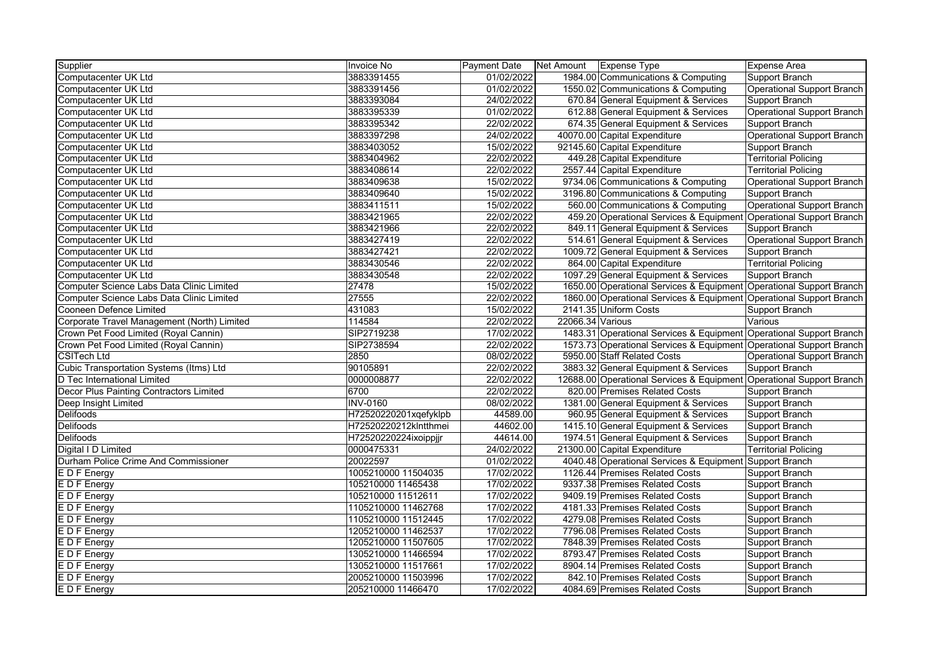| Supplier                                       | Invoice No            | <b>Payment Date</b> | Net Amount   Expense Type |                                                                      | <b>Expense Area</b>               |
|------------------------------------------------|-----------------------|---------------------|---------------------------|----------------------------------------------------------------------|-----------------------------------|
| Computacenter UK Ltd                           | 3883391455            | 01/02/2022          |                           | 1984.00 Communications & Computing                                   | Support Branch                    |
| Computacenter UK Ltd                           | 3883391456            | 01/02/2022          |                           | 1550.02 Communications & Computing                                   | <b>Operational Support Branch</b> |
| Computacenter UK Ltd                           | 3883393084            | 24/02/2022          |                           | 670.84 General Equipment & Services                                  | Support Branch                    |
| Computacenter UK Ltd                           | 3883395339            | 01/02/2022          |                           | 612.88 General Equipment & Services                                  | <b>Operational Support Branch</b> |
| Computacenter UK Ltd                           | 3883395342            | 22/02/2022          |                           | 674.35 General Equipment & Services                                  | <b>Support Branch</b>             |
| Computacenter UK Ltd                           | 3883397298            | 24/02/2022          |                           | 40070.00 Capital Expenditure                                         | <b>Operational Support Branch</b> |
| Computacenter UK Ltd                           | 3883403052            | 15/02/2022          |                           | 92145.60 Capital Expenditure                                         | <b>Support Branch</b>             |
| Computacenter UK Ltd                           | 3883404962            | 22/02/2022          |                           | 449.28 Capital Expenditure                                           | <b>Territorial Policing</b>       |
| Computacenter UK Ltd                           | 3883408614            | 22/02/2022          |                           | 2557.44 Capital Expenditure                                          | <b>Territorial Policing</b>       |
| Computacenter UK Ltd                           | 3883409638            | 15/02/2022          |                           | 9734.06 Communications & Computing                                   | <b>Operational Support Branch</b> |
| Computacenter UK Ltd                           | 3883409640            | 15/02/2022          |                           | 3196.80 Communications & Computing                                   | Support Branch                    |
| Computacenter UK Ltd                           | 3883411511            | 15/02/2022          |                           | 560.00 Communications & Computing                                    | <b>Operational Support Branch</b> |
| Computacenter UK Ltd                           | 3883421965            | 22/02/2022          |                           | 459.20 Operational Services & Equipment Operational Support Branch   |                                   |
| Computacenter UK Ltd                           | 3883421966            | 22/02/2022          |                           | 849.11 General Equipment & Services                                  | Support Branch                    |
| Computacenter UK Ltd                           | 3883427419            | 22/02/2022          |                           | 514.61 General Equipment & Services                                  | <b>Operational Support Branch</b> |
| Computacenter UK Ltd                           | 3883427421            | 22/02/2022          |                           | 1009.72 General Equipment & Services                                 | Support Branch                    |
| Computacenter UK Ltd                           | 3883430546            | 22/02/2022          |                           | 864.00 Capital Expenditure                                           | <b>Territorial Policing</b>       |
| Computacenter UK Ltd                           | 3883430548            | 22/02/2022          |                           | 1097.29 General Equipment & Services                                 | Support Branch                    |
| Computer Science Labs Data Clinic Limited      | 27478                 | 15/02/2022          |                           | 1650.00 Operational Services & Equipment Operational Support Branch  |                                   |
| Computer Science Labs Data Clinic Limited      | 27555                 | 22/02/2022          |                           | 1860.00 Operational Services & Equipment Operational Support Branch  |                                   |
| Cooneen Defence Limited                        | 431083                | 15/02/2022          |                           | 2141.35 Uniform Costs                                                | <b>Support Branch</b>             |
| Corporate Travel Management (North) Limited    | 114584                | 22/02/2022          | 22066.34 Various          |                                                                      | Various                           |
| Crown Pet Food Limited (Royal Cannin)          | SIP2719238            | 17/02/2022          |                           | 1483.31 Operational Services & Equipment Operational Support Branch  |                                   |
| Crown Pet Food Limited (Royal Cannin)          | SIP2738594            | 22/02/2022          |                           | 1573.73 Operational Services & Equipment Operational Support Branch  |                                   |
| <b>CSITech Ltd</b>                             | 2850                  | 08/02/2022          |                           | 5950.00 Staff Related Costs                                          | <b>Operational Support Branch</b> |
| <b>Cubic Transportation Systems (Itms) Ltd</b> | 90105891              | 22/02/2022          |                           | 3883.32 General Equipment & Services                                 | Support Branch                    |
| D Tec International Limited                    | 0000008877            | 22/02/2022          |                           | 12688.00 Operational Services & Equipment Operational Support Branch |                                   |
| Decor Plus Painting Contractors Limited        | 6700                  | 22/02/2022          |                           | 820.00 Premises Related Costs                                        | <b>Support Branch</b>             |
| Deep Insight Limited                           | <b>INV-0160</b>       | 08/02/2022          |                           | 1381.00 General Equipment & Services                                 | Support Branch                    |
| <b>Delifoods</b>                               | H72520220201xqefyklpb | 44589.00            |                           | 960.95 General Equipment & Services                                  | Support Branch                    |
| <b>Delifoods</b>                               | H72520220212kIntthmei | 44602.00            |                           | 1415.10 General Equipment & Services                                 | Support Branch                    |
| <b>Delifoods</b>                               | H72520220224ixoippjjr | 44614.00            |                           | 1974.51 General Equipment & Services                                 | Support Branch                    |
| Digital I D Limited                            | 0000475331            | 24/02/2022          |                           | 21300.00 Capital Expenditure                                         | <b>Territorial Policing</b>       |
| Durham Police Crime And Commissioner           | 20022597              | 01/02/2022          |                           | 4040.48 Operational Services & Equipment Support Branch              |                                   |
| E D F Energy                                   | 1005210000 11504035   | 17/02/2022          |                           | 1126.44 Premises Related Costs                                       | Support Branch                    |
| E D F Energy                                   | 105210000 11465438    | 17/02/2022          |                           | 9337.38 Premises Related Costs                                       | Support Branch                    |
| E D F Energy                                   | 105210000 11512611    | 17/02/2022          |                           | 9409.19 Premises Related Costs                                       | <b>Support Branch</b>             |
| E D F Energy                                   | 1105210000 11462768   | 17/02/2022          |                           | 4181.33 Premises Related Costs                                       | Support Branch                    |
| E D F Energy                                   | 1105210000 11512445   | 17/02/2022          |                           | 4279.08 Premises Related Costs                                       | <b>Support Branch</b>             |
| E D F Energy                                   | 1205210000 11462537   | 17/02/2022          |                           | 7796.08 Premises Related Costs                                       | Support Branch                    |
| E D F Energy                                   | 1205210000 11507605   | 17/02/2022          |                           | 7848.39 Premises Related Costs                                       | Support Branch                    |
| E D F Energy                                   | 1305210000 11466594   | 17/02/2022          |                           | 8793.47 Premises Related Costs                                       | Support Branch                    |
| E D F Energy                                   | 1305210000 11517661   | 17/02/2022          |                           | 8904.14 Premises Related Costs                                       | <b>Support Branch</b>             |
| E D F Energy                                   | 2005210000 11503996   | 17/02/2022          |                           | 842.10 Premises Related Costs                                        | <b>Support Branch</b>             |
| E D F Energy                                   | 205210000 11466470    | 17/02/2022          |                           | 4084.69 Premises Related Costs                                       | <b>Support Branch</b>             |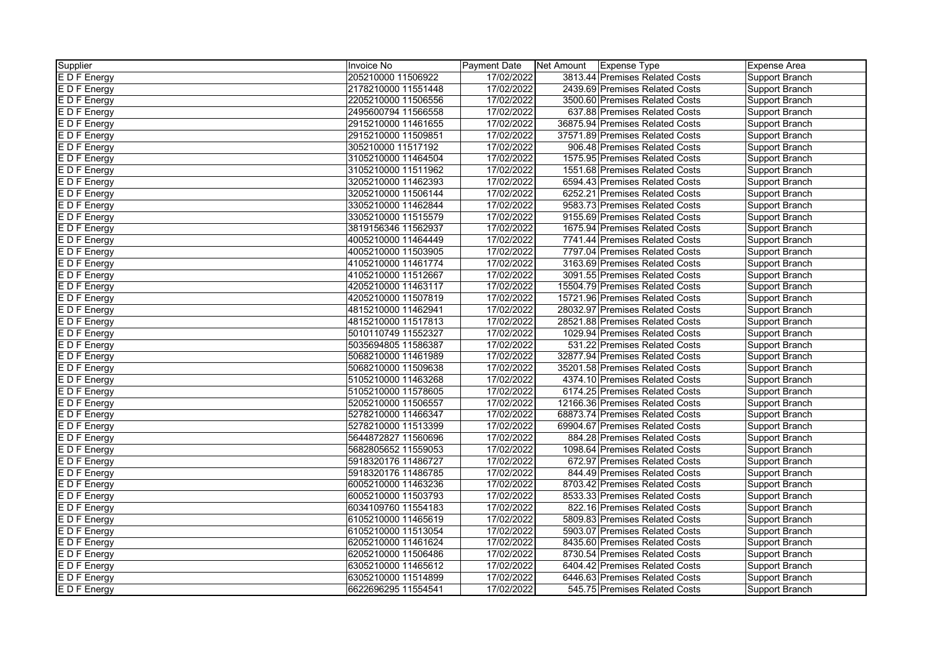| Supplier          | Invoice No          | <b>Payment Date</b> | Net Amount   Expense Type |                                 | Expense Area   |
|-------------------|---------------------|---------------------|---------------------------|---------------------------------|----------------|
| <b>EDFEnergy</b>  | 205210000 11506922  | 17/02/2022          |                           | 3813.44 Premises Related Costs  | Support Branch |
| E D F Energy      | 2178210000 11551448 | 17/02/2022          |                           | 2439.69 Premises Related Costs  | Support Branch |
| E D F Energy      | 2205210000 11506556 | 17/02/2022          |                           | 3500.60 Premises Related Costs  | Support Branch |
| E D F Energy      | 2495600794 11566558 | 17/02/2022          |                           | 637.88 Premises Related Costs   | Support Branch |
| E D F Energy      | 2915210000 11461655 | 17/02/2022          |                           | 36875.94 Premises Related Costs | Support Branch |
| E D F Energy      | 2915210000 11509851 | 17/02/2022          |                           | 37571.89 Premises Related Costs | Support Branch |
| E D F Energy      | 305210000 11517192  | 17/02/2022          |                           | 906.48 Premises Related Costs   | Support Branch |
| E D F Energy      | 3105210000 11464504 | 17/02/2022          |                           | 1575.95 Premises Related Costs  | Support Branch |
| E D F Energy      | 3105210000 11511962 | 17/02/2022          |                           | 1551.68 Premises Related Costs  | Support Branch |
| E D F Energy      | 3205210000 11462393 | 17/02/2022          |                           | 6594.43 Premises Related Costs  | Support Branch |
| E D F Energy      | 3205210000 11506144 | 17/02/2022          |                           | 6252.21 Premises Related Costs  | Support Branch |
| E D F Energy      | 3305210000 11462844 | 17/02/2022          |                           | 9583.73 Premises Related Costs  | Support Branch |
| E D F Energy      | 3305210000 11515579 | 17/02/2022          |                           | 9155.69 Premises Related Costs  | Support Branch |
| E D F Energy      | 3819156346 11562937 | 17/02/2022          |                           | 1675.94 Premises Related Costs  | Support Branch |
| E D F Energy      | 4005210000 11464449 | 17/02/2022          |                           | 7741.44 Premises Related Costs  | Support Branch |
| E D F Energy      | 4005210000 11503905 | 17/02/2022          |                           | 7797.04 Premises Related Costs  | Support Branch |
| E D F Energy      | 4105210000 11461774 | 17/02/2022          |                           | 3163.69 Premises Related Costs  | Support Branch |
| E D F Energy      | 4105210000 11512667 | 17/02/2022          |                           | 3091.55 Premises Related Costs  | Support Branch |
| E D F Energy      | 4205210000 11463117 | 17/02/2022          |                           | 15504.79 Premises Related Costs | Support Branch |
| E D F Energy      | 4205210000 11507819 | 17/02/2022          |                           | 15721.96 Premises Related Costs | Support Branch |
| E D F Energy      | 4815210000 11462941 | 17/02/2022          |                           | 28032.97 Premises Related Costs | Support Branch |
| E D F Energy      | 4815210000 11517813 | 17/02/2022          |                           | 28521.88 Premises Related Costs | Support Branch |
| E D F Energy      | 5010110749 11552327 | 17/02/2022          |                           | 1029.94 Premises Related Costs  | Support Branch |
| E D F Energy      | 5035694805 11586387 | 17/02/2022          |                           | 531.22 Premises Related Costs   | Support Branch |
| E D F Energy      | 5068210000 11461989 | 17/02/2022          |                           | 32877.94 Premises Related Costs | Support Branch |
| E D F Energy      | 5068210000 11509638 | 17/02/2022          |                           | 35201.58 Premises Related Costs | Support Branch |
| <b>EDF</b> Energy | 5105210000 11463268 | 17/02/2022          |                           | 4374.10 Premises Related Costs  | Support Branch |
| E D F Energy      | 5105210000 11578605 | 17/02/2022          |                           | 6174.25 Premises Related Costs  | Support Branch |
| E D F Energy      | 5205210000 11506557 | 17/02/2022          |                           | 12166.36 Premises Related Costs | Support Branch |
| E D F Energy      | 5278210000 11466347 | 17/02/2022          |                           | 68873.74 Premises Related Costs | Support Branch |
| E D F Energy      | 5278210000 11513399 | 17/02/2022          |                           | 69904.67 Premises Related Costs | Support Branch |
| <b>EDFEnergy</b>  | 5644872827 11560696 | 17/02/2022          |                           | 884.28 Premises Related Costs   | Support Branch |
| E D F Energy      | 5682805652 11559053 | 17/02/2022          |                           | 1098.64 Premises Related Costs  | Support Branch |
| $E$ D F Energy    | 5918320176 11486727 | 17/02/2022          |                           | 672.97 Premises Related Costs   | Support Branch |
| E D F Energy      | 5918320176 11486785 | 17/02/2022          |                           | 844.49 Premises Related Costs   | Support Branch |
| E D F Energy      | 6005210000 11463236 | 17/02/2022          |                           | 8703.42 Premises Related Costs  | Support Branch |
| E D F Energy      | 6005210000 11503793 | 17/02/2022          |                           | 8533.33 Premises Related Costs  | Support Branch |
| E D F Energy      | 6034109760 11554183 | 17/02/2022          |                           | 822.16 Premises Related Costs   | Support Branch |
| E D F Energy      | 6105210000 11465619 | 17/02/2022          |                           | 5809.83 Premises Related Costs  | Support Branch |
| E D F Energy      | 6105210000 11513054 | 17/02/2022          |                           | 5903.07 Premises Related Costs  | Support Branch |
| E D F Energy      | 6205210000 11461624 | 17/02/2022          |                           | 8435.60 Premises Related Costs  | Support Branch |
| E D F Energy      | 6205210000 11506486 | 17/02/2022          |                           | 8730.54 Premises Related Costs  | Support Branch |
| E D F Energy      | 6305210000 11465612 | 17/02/2022          |                           | 6404.42 Premises Related Costs  | Support Branch |
| E D F Energy      | 6305210000 11514899 | 17/02/2022          |                           | 6446.63 Premises Related Costs  | Support Branch |
| E D F Energy      | 6622696295 11554541 | 17/02/2022          |                           | 545.75 Premises Related Costs   | Support Branch |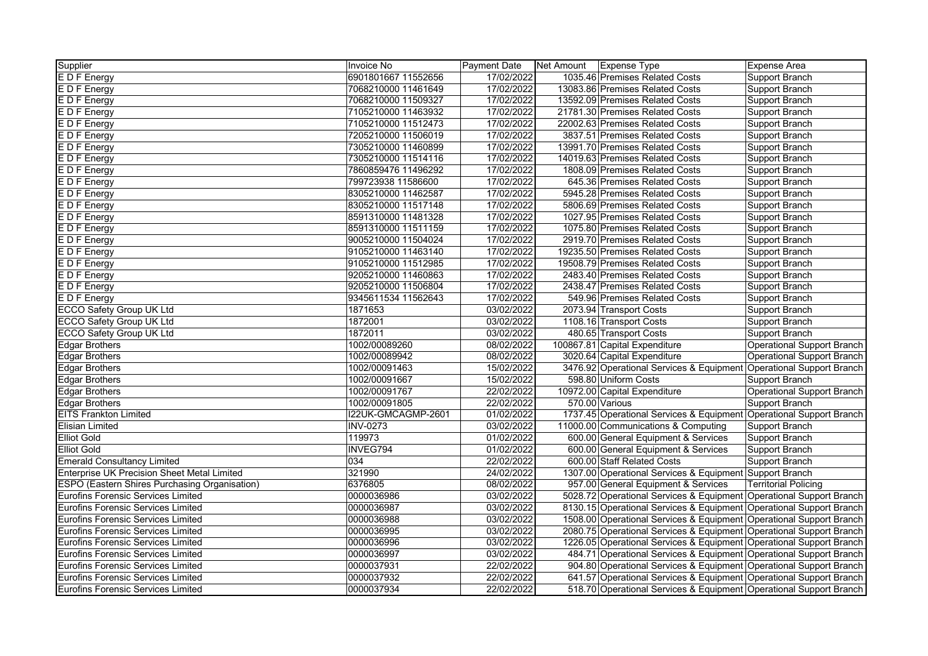| Supplier                                           | Invoice No          | Payment Date | Net Amount Expense Type |                                                                     | Expense Area                      |
|----------------------------------------------------|---------------------|--------------|-------------------------|---------------------------------------------------------------------|-----------------------------------|
| E D F Energy                                       | 6901801667 11552656 | 17/02/2022   |                         | 1035.46 Premises Related Costs                                      | Support Branch                    |
| E D F Energy                                       | 7068210000 11461649 | 17/02/2022   |                         | 13083.86 Premises Related Costs                                     | Support Branch                    |
| E D F Energy                                       | 7068210000 11509327 | 17/02/2022   |                         | 13592.09 Premises Related Costs                                     | Support Branch                    |
| E D F Energy                                       | 7105210000 11463932 | 17/02/2022   |                         | 21781.30 Premises Related Costs                                     | Support Branch                    |
| $E$ D F Energy                                     | 7105210000 11512473 | 17/02/2022   |                         | 22002.63 Premises Related Costs                                     | Support Branch                    |
| E D F Energy                                       | 7205210000 11506019 | 17/02/2022   |                         | 3837.51 Premises Related Costs                                      | Support Branch                    |
| E D F Energy                                       | 7305210000 11460899 | 17/02/2022   |                         | 13991.70 Premises Related Costs                                     | Support Branch                    |
| E D F Energy                                       | 7305210000 11514116 | 17/02/2022   |                         | 14019.63 Premises Related Costs                                     | Support Branch                    |
| E D F Energy                                       | 7860859476 11496292 | 17/02/2022   |                         | 1808.09 Premises Related Costs                                      | Support Branch                    |
| E D F Energy                                       | 799723938 11586600  | 17/02/2022   |                         | 645.36 Premises Related Costs                                       | Support Branch                    |
| E D F Energy                                       | 8305210000 11462587 | 17/02/2022   |                         | 5945.28 Premises Related Costs                                      | Support Branch                    |
| E D F Energy                                       | 8305210000 11517148 | 17/02/2022   |                         | 5806.69 Premises Related Costs                                      | Support Branch                    |
| E D F Energy                                       | 8591310000 11481328 | 17/02/2022   |                         | 1027.95 Premises Related Costs                                      | Support Branch                    |
| E D F Energy                                       | 8591310000 11511159 | 17/02/2022   |                         | 1075.80 Premises Related Costs                                      | Support Branch                    |
| E D F Energy                                       | 9005210000 11504024 | 17/02/2022   |                         | 2919.70 Premises Related Costs                                      | Support Branch                    |
| E D F Energy                                       | 9105210000 11463140 | 17/02/2022   |                         | 19235.50 Premises Related Costs                                     | Support Branch                    |
| E D F Energy                                       | 9105210000 11512985 | 17/02/2022   |                         | 19508.79 Premises Related Costs                                     | Support Branch                    |
| E D F Energy                                       | 9205210000 11460863 | 17/02/2022   |                         | 2483.40 Premises Related Costs                                      | Support Branch                    |
| E D F Energy                                       | 9205210000 11506804 | 17/02/2022   |                         | 2438.47 Premises Related Costs                                      | Support Branch                    |
| E D F Energy                                       | 9345611534 11562643 | 17/02/2022   |                         | 549.96 Premises Related Costs                                       | Support Branch                    |
| <b>ECCO Safety Group UK Ltd</b>                    | 1871653             | 03/02/2022   |                         | 2073.94 Transport Costs                                             | Support Branch                    |
| <b>ECCO Safety Group UK Ltd</b>                    | 1872001             | 03/02/2022   |                         | 1108.16 Transport Costs                                             | Support Branch                    |
| <b>ECCO Safety Group UK Ltd</b>                    | 1872011             | 03/02/2022   |                         | 480.65 Transport Costs                                              | Support Branch                    |
| <b>Edgar Brothers</b>                              | 1002/00089260       | 08/02/2022   |                         | 100867.81 Capital Expenditure                                       | <b>Operational Support Branch</b> |
| <b>Edgar Brothers</b>                              | 1002/00089942       | 08/02/2022   |                         | 3020.64 Capital Expenditure                                         | <b>Operational Support Branch</b> |
| <b>Edgar Brothers</b>                              | 1002/00091463       | 15/02/2022   |                         | 3476.92 Operational Services & Equipment Operational Support Branch |                                   |
| <b>Edgar Brothers</b>                              | 1002/00091667       | 15/02/2022   |                         | 598.80 Uniform Costs                                                | Support Branch                    |
| <b>Edgar Brothers</b>                              | 1002/00091767       | 22/02/2022   |                         | 10972.00 Capital Expenditure                                        | <b>Operational Support Branch</b> |
| <b>Edgar Brothers</b>                              | 1002/00091805       | 22/02/2022   |                         | 570.00 Various                                                      | Support Branch                    |
| <b>EITS Frankton Limited</b>                       | I22UK-GMCAGMP-2601  | 01/02/2022   |                         | 1737.45 Operational Services & Equipment Operational Support Branch |                                   |
| <b>Elisian Limited</b>                             | <b>INV-0273</b>     | 03/02/2022   |                         | 11000.00 Communications & Computing                                 | Support Branch                    |
| <b>Elliot Gold</b>                                 | 119973              | 01/02/2022   |                         | 600.00 General Equipment & Services                                 | Support Branch                    |
| <b>Elliot Gold</b>                                 | INVEG794            | 01/02/2022   |                         | 600.00 General Equipment & Services                                 | Support Branch                    |
| <b>Emerald Consultancy Limited</b>                 | 034                 | 22/02/2022   |                         | 600.00 Staff Related Costs                                          | Support Branch                    |
| <b>Enterprise UK Precision Sheet Metal Limited</b> | 321990              | 24/02/2022   |                         | 1307.00 Operational Services & Equipment Support Branch             |                                   |
| ESPO (Eastern Shires Purchasing Organisation)      | 6376805             | 08/02/2022   |                         | 957.00 General Equipment & Services                                 | <b>Territorial Policing</b>       |
| <b>Eurofins Forensic Services Limited</b>          | 0000036986          | 03/02/2022   |                         | 5028.72 Operational Services & Equipment Operational Support Branch |                                   |
| Eurofins Forensic Services Limited                 | 0000036987          | 03/02/2022   |                         | 8130.15 Operational Services & Equipment Operational Support Branch |                                   |
| Eurofins Forensic Services Limited                 | 0000036988          | 03/02/2022   |                         | 1508.00 Operational Services & Equipment Operational Support Branch |                                   |
| Eurofins Forensic Services Limited                 | 0000036995          | 03/02/2022   |                         | 2080.75 Operational Services & Equipment Operational Support Branch |                                   |
| <b>Eurofins Forensic Services Limited</b>          | 0000036996          | 03/02/2022   |                         | 1226.05 Operational Services & Equipment Operational Support Branch |                                   |
| Eurofins Forensic Services Limited                 | 0000036997          | 03/02/2022   |                         | 484.71 Operational Services & Equipment Operational Support Branch  |                                   |
| Eurofins Forensic Services Limited                 | 0000037931          | 22/02/2022   |                         | 904.80 Operational Services & Equipment Operational Support Branch  |                                   |
| Eurofins Forensic Services Limited                 | 0000037932          | 22/02/2022   |                         | 641.57 Operational Services & Equipment Operational Support Branch  |                                   |
| <b>Eurofins Forensic Services Limited</b>          | 0000037934          | 22/02/2022   |                         | 518.70 Operational Services & Equipment Operational Support Branch  |                                   |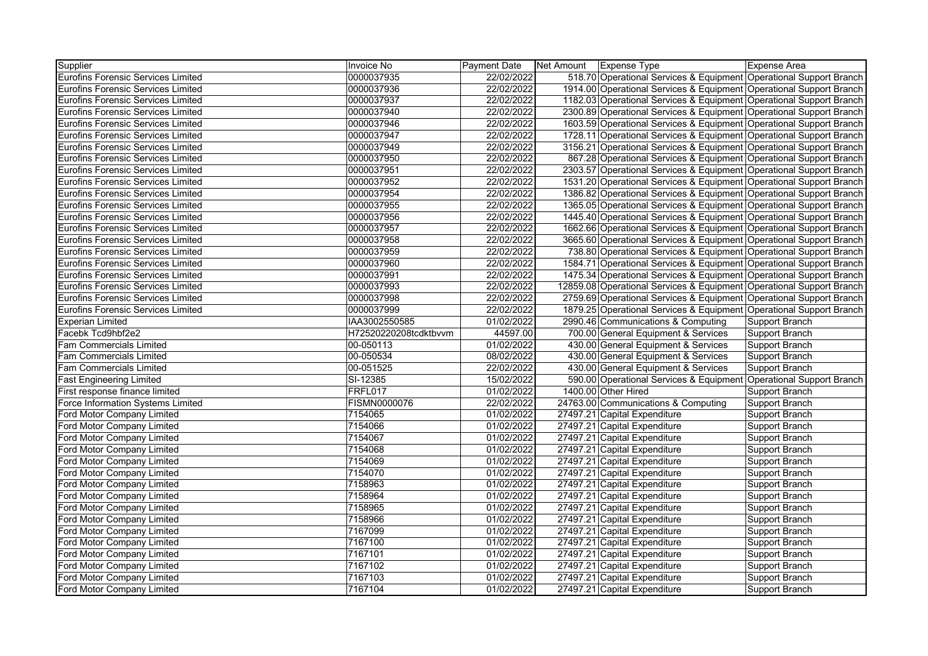| Supplier                                  | <b>Invoice No</b>     | <b>Payment Date</b> | Net Amount Expense Type |                                                                      | <b>Expense Area</b>   |
|-------------------------------------------|-----------------------|---------------------|-------------------------|----------------------------------------------------------------------|-----------------------|
| Eurofins Forensic Services Limited        | 0000037935            | 22/02/2022          |                         | 518.70 Operational Services & Equipment Operational Support Branch   |                       |
| Eurofins Forensic Services Limited        | 0000037936            | 22/02/2022          |                         | 1914.00 Operational Services & Equipment Operational Support Branch  |                       |
| Eurofins Forensic Services Limited        | 0000037937            | 22/02/2022          |                         | 1182.03 Operational Services & Equipment Operational Support Branch  |                       |
| Eurofins Forensic Services Limited        | 0000037940            | 22/02/2022          |                         | 2300.89 Operational Services & Equipment Operational Support Branch  |                       |
| <b>Eurofins Forensic Services Limited</b> | 0000037946            | 22/02/2022          |                         | 1603.59 Operational Services & Equipment Operational Support Branch  |                       |
| <b>Eurofins Forensic Services Limited</b> | 0000037947            | 22/02/2022          |                         | 1728.11 Operational Services & Equipment Operational Support Branch  |                       |
| <b>Eurofins Forensic Services Limited</b> | 0000037949            | 22/02/2022          |                         | 3156.21 Operational Services & Equipment Operational Support Branch  |                       |
| Eurofins Forensic Services Limited        | 0000037950            | 22/02/2022          |                         | 867.28 Operational Services & Equipment Operational Support Branch   |                       |
| <b>Eurofins Forensic Services Limited</b> | 0000037951            | 22/02/2022          |                         | 2303.57 Operational Services & Equipment Operational Support Branch  |                       |
| Eurofins Forensic Services Limited        | 0000037952            | 22/02/2022          |                         | 1531.20 Operational Services & Equipment Operational Support Branch  |                       |
| Eurofins Forensic Services Limited        | 0000037954            | 22/02/2022          |                         | 1386.82 Operational Services & Equipment Operational Support Branch  |                       |
| Eurofins Forensic Services Limited        | 0000037955            | 22/02/2022          |                         | 1365.05 Operational Services & Equipment Operational Support Branch  |                       |
| Eurofins Forensic Services Limited        | 0000037956            | 22/02/2022          |                         | 1445.40 Operational Services & Equipment Operational Support Branch  |                       |
| <b>Eurofins Forensic Services Limited</b> | 0000037957            | 22/02/2022          |                         | 1662.66 Operational Services & Equipment Operational Support Branch  |                       |
| <b>Eurofins Forensic Services Limited</b> | 0000037958            | 22/02/2022          |                         | 3665.60 Operational Services & Equipment Operational Support Branch  |                       |
| <b>Eurofins Forensic Services Limited</b> | 0000037959            | 22/02/2022          |                         | 738.80 Operational Services & Equipment Operational Support Branch   |                       |
| <b>Eurofins Forensic Services Limited</b> | 0000037960            | 22/02/2022          |                         | 1584.71 Operational Services & Equipment Operational Support Branch  |                       |
| <b>Eurofins Forensic Services Limited</b> | 0000037991            | 22/02/2022          |                         | 1475.34 Operational Services & Equipment Operational Support Branch  |                       |
| <b>Eurofins Forensic Services Limited</b> | 0000037993            | 22/02/2022          |                         | 12859.08 Operational Services & Equipment Operational Support Branch |                       |
| <b>Eurofins Forensic Services Limited</b> | 0000037998            | 22/02/2022          |                         | 2759.69 Operational Services & Equipment Operational Support Branch  |                       |
| <b>Eurofins Forensic Services Limited</b> | 0000037999            | 22/02/2022          |                         | 1879.25 Operational Services & Equipment Operational Support Branch  |                       |
| <b>Experian Limited</b>                   | IAA3002550585         | 01/02/2022          |                         | 2990.46 Communications & Computing                                   | Support Branch        |
| Facebk Tcd9hbf2e2                         | H72520220208tcdktbvvm | 44597.00            |                         | 700.00 General Equipment & Services                                  | Support Branch        |
| Fam Commercials Limited                   | 00-050113             | 01/02/2022          |                         | 430.00 General Equipment & Services                                  | Support Branch        |
| Fam Commercials Limited                   | 00-050534             | 08/02/2022          |                         | 430.00 General Equipment & Services                                  | <b>Support Branch</b> |
| Fam Commercials Limited                   | 00-051525             | 22/02/2022          |                         | 430.00 General Equipment & Services                                  | <b>Support Branch</b> |
| <b>Fast Engineering Limited</b>           | SI-12385              | 15/02/2022          |                         | 590.00 Operational Services & Equipment Operational Support Branch   |                       |
| First response finance limited            | FRFL017               | 01/02/2022          |                         | 1400.00 Other Hired                                                  | Support Branch        |
| Force Information Systems Limited         | FISMN0000076          | 22/02/2022          |                         | 24763.00 Communications & Computing                                  | Support Branch        |
| Ford Motor Company Limited                | 7154065               | 01/02/2022          |                         | 27497.21 Capital Expenditure                                         | Support Branch        |
| Ford Motor Company Limited                | 7154066               | 01/02/2022          |                         | 27497.21 Capital Expenditure                                         | <b>Support Branch</b> |
| Ford Motor Company Limited                | 7154067               | 01/02/2022          |                         | 27497.21 Capital Expenditure                                         | Support Branch        |
| Ford Motor Company Limited                | 7154068               | 01/02/2022          |                         | 27497.21 Capital Expenditure                                         | Support Branch        |
| Ford Motor Company Limited                | 7154069               | 01/02/2022          |                         | 27497.21 Capital Expenditure                                         | Support Branch        |
| Ford Motor Company Limited                | 7154070               | 01/02/2022          |                         | 27497.21 Capital Expenditure                                         | Support Branch        |
| Ford Motor Company Limited                | 7158963               | 01/02/2022          |                         | 27497.21 Capital Expenditure                                         | <b>Support Branch</b> |
| Ford Motor Company Limited                | 7158964               | 01/02/2022          |                         | 27497.21 Capital Expenditure                                         | <b>Support Branch</b> |
| Ford Motor Company Limited                | 7158965               | 01/02/2022          |                         | 27497.21 Capital Expenditure                                         | Support Branch        |
| Ford Motor Company Limited                | 7158966               | 01/02/2022          |                         | 27497.21 Capital Expenditure                                         | Support Branch        |
| Ford Motor Company Limited                | 7167099               | 01/02/2022          |                         | 27497.21 Capital Expenditure                                         | Support Branch        |
| Ford Motor Company Limited                | 7167100               | 01/02/2022          |                         | 27497.21 Capital Expenditure                                         | Support Branch        |
| Ford Motor Company Limited                | 7167101               | 01/02/2022          |                         | 27497.21 Capital Expenditure                                         | <b>Support Branch</b> |
| Ford Motor Company Limited                | 7167102               | 01/02/2022          |                         | 27497.21 Capital Expenditure                                         | Support Branch        |
| Ford Motor Company Limited                | 7167103               | 01/02/2022          |                         | 27497.21 Capital Expenditure                                         | Support Branch        |
| Ford Motor Company Limited                | 7167104               | 01/02/2022          |                         | 27497.21 Capital Expenditure                                         | Support Branch        |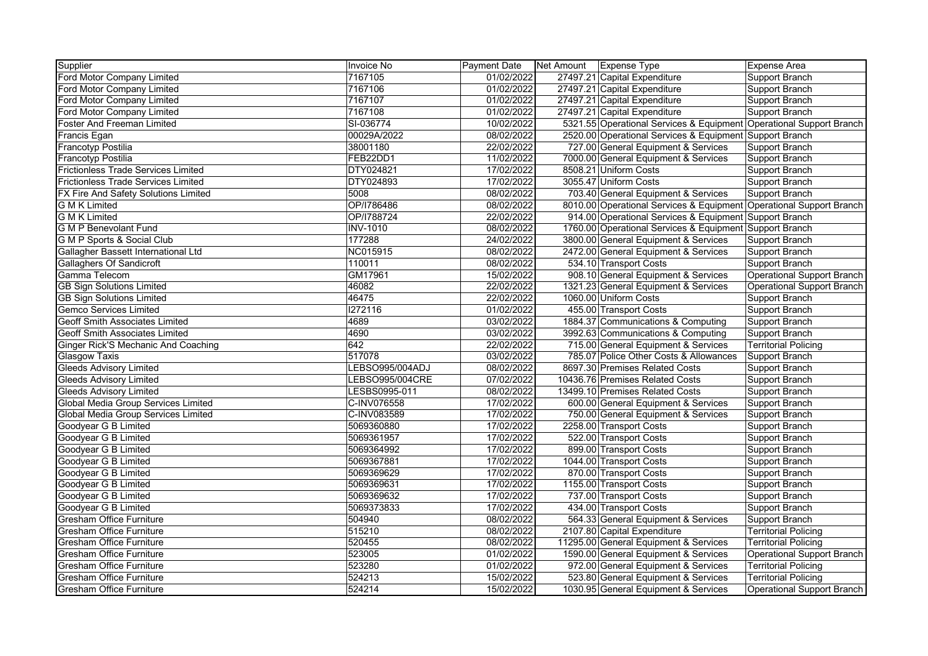| Supplier                                   | <b>Invoice No</b> | Payment Date | Net Amount | Expense Type                                                        | <b>Expense Area</b>               |
|--------------------------------------------|-------------------|--------------|------------|---------------------------------------------------------------------|-----------------------------------|
| Ford Motor Company Limited                 | 7167105           | 01/02/2022   |            | 27497.21 Capital Expenditure                                        | Support Branch                    |
| Ford Motor Company Limited                 | 7167106           | 01/02/2022   |            | 27497.21 Capital Expenditure                                        | Support Branch                    |
| Ford Motor Company Limited                 | 7167107           | 01/02/2022   |            | 27497.21 Capital Expenditure                                        | Support Branch                    |
| Ford Motor Company Limited                 | 7167108           | 01/02/2022   |            | 27497.21 Capital Expenditure                                        | Support Branch                    |
| <b>Foster And Freeman Limited</b>          | SI-036774         | 10/02/2022   |            | 5321.55 Operational Services & Equipment Operational Support Branch |                                   |
| Francis Egan                               | 00029A/2022       | 08/02/2022   |            | 2520.00 Operational Services & Equipment Support Branch             |                                   |
| Francotyp Postilia                         | 38001180          | 22/02/2022   |            | 727.00 General Equipment & Services                                 | Support Branch                    |
| <b>Francotyp Postilia</b>                  | FEB22DD1          | 11/02/2022   |            | 7000.00 General Equipment & Services                                | Support Branch                    |
| <b>Frictionless Trade Services Limited</b> | DTY024821         | 17/02/2022   |            | 8508.21 Uniform Costs                                               | Support Branch                    |
| <b>Frictionless Trade Services Limited</b> | DTY024893         | 17/02/2022   |            | 3055.47 Uniform Costs                                               | Support Branch                    |
| FX Fire And Safety Solutions Limited       | 5008              | 08/02/2022   |            | 703.40 General Equipment & Services                                 | Support Branch                    |
| <b>G M K Limited</b>                       | OP/I786486        | 08/02/2022   |            | 8010.00 Operational Services & Equipment Operational Support Branch |                                   |
| <b>G M K Limited</b>                       | OP/I788724        | 22/02/2022   |            | 914.00 Operational Services & Equipment Support Branch              |                                   |
| G M P Benevolant Fund                      | <b>INV-1010</b>   | 08/02/2022   |            | 1760.00 Operational Services & Equipment Support Branch             |                                   |
| <b>G M P Sports &amp; Social Club</b>      | 177288            | 24/02/2022   |            | 3800.00 General Equipment & Services                                | Support Branch                    |
| Gallagher Bassett International Ltd        | NC015915          | 08/02/2022   |            | 2472.00 General Equipment & Services                                | Support Branch                    |
| <b>Gallaghers Of Sandicroft</b>            | 110011            | 08/02/2022   |            | 534.10 Transport Costs                                              | Support Branch                    |
| Gamma Telecom                              | GM17961           | 15/02/2022   |            | 908.10 General Equipment & Services                                 | Operational Support Branch        |
| <b>GB Sign Solutions Limited</b>           | 46082             | 22/02/2022   |            | 1321.23 General Equipment & Services                                | <b>Operational Support Branch</b> |
| <b>GB Sign Solutions Limited</b>           | 46475             | 22/02/2022   |            | 1060.00 Uniform Costs                                               | Support Branch                    |
| <b>Gemco Services Limited</b>              | 1272116           | 01/02/2022   |            | 455.00 Transport Costs                                              | Support Branch                    |
| <b>Geoff Smith Associates Limited</b>      | 4689              | 03/02/2022   |            | 1884.37 Communications & Computing                                  | Support Branch                    |
| Geoff Smith Associates Limited             | 4690              | 03/02/2022   |            | 3992.63 Communications & Computing                                  | Support Branch                    |
| Ginger Rick'S Mechanic And Coaching        | 642               | 22/02/2022   |            | 715.00 General Equipment & Services                                 | <b>Territorial Policing</b>       |
| <b>Glasgow Taxis</b>                       | 517078            | 03/02/2022   |            | 785.07 Police Other Costs & Allowances                              | Support Branch                    |
| <b>Gleeds Advisory Limited</b>             | LEBSO995/004ADJ   | 08/02/2022   |            | 8697.30 Premises Related Costs                                      | Support Branch                    |
| <b>Gleeds Advisory Limited</b>             | LEBSO995/004CRE   | 07/02/2022   |            | 10436.76 Premises Related Costs                                     | Support Branch                    |
| <b>Gleeds Advisory Limited</b>             | LESBS0995-011     | 08/02/2022   |            | 13499.10 Premises Related Costs                                     | Support Branch                    |
| Global Media Group Services Limited        | C-INV076558       | 17/02/2022   |            | 600.00 General Equipment & Services                                 | Support Branch                    |
| Global Media Group Services Limited        | C-INV083589       | 17/02/2022   |            | 750.00 General Equipment & Services                                 | Support Branch                    |
| Goodyear G B Limited                       | 5069360880        | 17/02/2022   |            | 2258.00 Transport Costs                                             | Support Branch                    |
| Goodyear G B Limited                       | 5069361957        | 17/02/2022   |            | 522.00 Transport Costs                                              | Support Branch                    |
| Goodyear G B Limited                       | 5069364992        | 17/02/2022   |            | 899.00 Transport Costs                                              | Support Branch                    |
| Goodyear G B Limited                       | 5069367881        | 17/02/2022   |            | 1044.00 Transport Costs                                             | Support Branch                    |
| Goodyear G B Limited                       | 5069369629        | 17/02/2022   |            | 870.00 Transport Costs                                              | Support Branch                    |
| Goodyear G B Limited                       | 5069369631        | 17/02/2022   |            | 1155.00 Transport Costs                                             | Support Branch                    |
| Goodyear G B Limited                       | 5069369632        | 17/02/2022   |            | 737.00 Transport Costs                                              | Support Branch                    |
| Goodyear G B Limited                       | 5069373833        | 17/02/2022   |            | 434.00 Transport Costs                                              | Support Branch                    |
| <b>Gresham Office Furniture</b>            | 504940            | 08/02/2022   |            | 564.33 General Equipment & Services                                 | Support Branch                    |
| <b>Gresham Office Furniture</b>            | 515210            | 08/02/2022   |            | 2107.80 Capital Expenditure                                         | <b>Territorial Policing</b>       |
| <b>Gresham Office Furniture</b>            | 520455            | 08/02/2022   |            | 11295.00 General Equipment & Services                               | <b>Territorial Policing</b>       |
| <b>Gresham Office Furniture</b>            | 523005            | 01/02/2022   |            | 1590.00 General Equipment & Services                                | Operational Support Branch        |
| <b>Gresham Office Furniture</b>            | 523280            | 01/02/2022   |            | 972.00 General Equipment & Services                                 | <b>Territorial Policing</b>       |
| <b>Gresham Office Furniture</b>            | 524213            | 15/02/2022   |            | 523.80 General Equipment & Services                                 | <b>Territorial Policing</b>       |
| <b>Gresham Office Furniture</b>            | 524214            | 15/02/2022   |            | 1030.95 General Equipment & Services                                | Operational Support Branch        |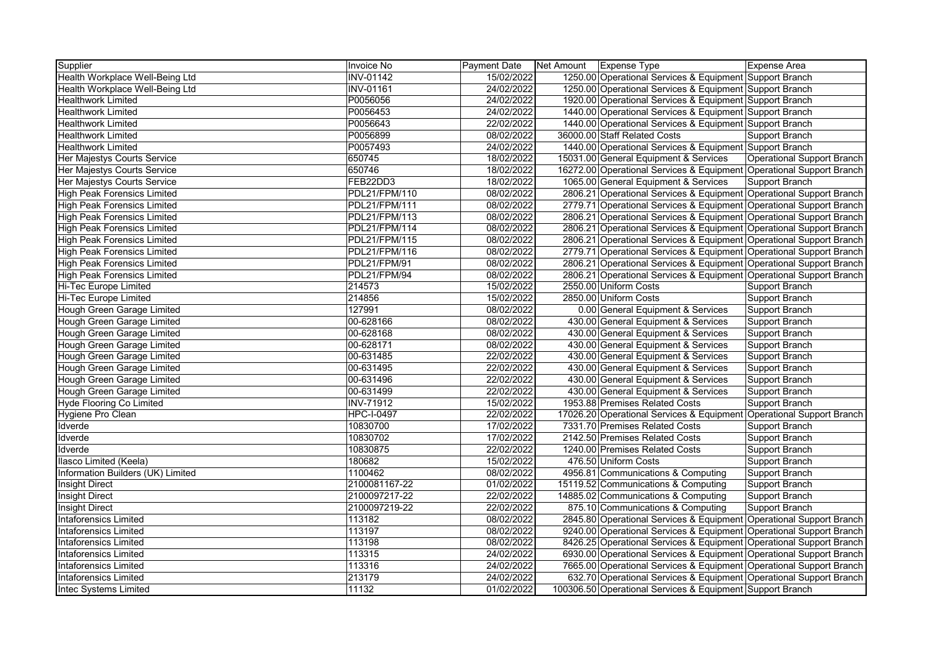| Supplier                           | Invoice No           | <b>Payment Date</b> | Net Amount Expense Type | Expense Area                                                         |
|------------------------------------|----------------------|---------------------|-------------------------|----------------------------------------------------------------------|
| Health Workplace Well-Being Ltd    | <b>INV-01142</b>     | 15/02/2022          |                         | 1250.00 Operational Services & Equipment Support Branch              |
| Health Workplace Well-Being Ltd    | <b>INV-01161</b>     | 24/02/2022          |                         | 1250.00 Operational Services & Equipment Support Branch              |
| <b>Healthwork Limited</b>          | P0056056             | 24/02/2022          |                         | 1920.00 Operational Services & Equipment Support Branch              |
| <b>Healthwork Limited</b>          | P0056453             | 24/02/2022          |                         | 1440.00 Operational Services & Equipment Support Branch              |
| <b>Healthwork Limited</b>          | P0056643             | 22/02/2022          |                         | 1440.00 Operational Services & Equipment Support Branch              |
| <b>Healthwork Limited</b>          | P0056899             | 08/02/2022          |                         | 36000.00 Staff Related Costs<br>Support Branch                       |
| <b>Healthwork Limited</b>          | P0057493             | 24/02/2022          |                         | 1440.00 Operational Services & Equipment Support Branch              |
| Her Majestys Courts Service        | 650745               | 18/02/2022          |                         | 15031.00 General Equipment & Services<br>Operational Support Branch  |
| Her Majestys Courts Service        | 650746               | 18/02/2022          |                         | 16272.00 Operational Services & Equipment Operational Support Branch |
| Her Majestys Courts Service        | FEB22DD3             | 18/02/2022          |                         | 1065.00 General Equipment & Services<br>Support Branch               |
| <b>High Peak Forensics Limited</b> | PDL21/FPM/110        | 08/02/2022          |                         | 2806.21 Operational Services & Equipment Operational Support Branch  |
| <b>High Peak Forensics Limited</b> | <b>PDL21/FPM/111</b> | 08/02/2022          |                         | 2779.71 Operational Services & Equipment Operational Support Branch  |
| <b>High Peak Forensics Limited</b> | <b>PDL21/FPM/113</b> | 08/02/2022          |                         | 2806.21 Operational Services & Equipment Operational Support Branch  |
| <b>High Peak Forensics Limited</b> | <b>PDL21/FPM/114</b> | 08/02/2022          |                         | 2806.21 Operational Services & Equipment Operational Support Branch  |
| <b>High Peak Forensics Limited</b> | PDL21/FPM/115        | 08/02/2022          |                         | 2806.21 Operational Services & Equipment Operational Support Branch  |
| <b>High Peak Forensics Limited</b> | <b>PDL21/FPM/116</b> | 08/02/2022          |                         | 2779.71 Operational Services & Equipment Operational Support Branch  |
| <b>High Peak Forensics Limited</b> | PDL21/FPM/91         | 08/02/2022          |                         | 2806.21 Operational Services & Equipment Operational Support Branch  |
| <b>High Peak Forensics Limited</b> | PDL21/FPM/94         | 08/02/2022          |                         | 2806.21 Operational Services & Equipment Operational Support Branch  |
| Hi-Tec Europe Limited              | 214573               | 15/02/2022          |                         | 2550.00 Uniform Costs<br>Support Branch                              |
| Hi-Tec Europe Limited              | 214856               | 15/02/2022          |                         | 2850.00 Uniform Costs<br>Support Branch                              |
| <b>Hough Green Garage Limited</b>  | 127991               | 08/02/2022          |                         | 0.00 General Equipment & Services<br>Support Branch                  |
| Hough Green Garage Limited         | 00-628166            | 08/02/2022          |                         | 430.00 General Equipment & Services<br>Support Branch                |
| Hough Green Garage Limited         | 00-628168            | 08/02/2022          |                         | 430.00 General Equipment & Services<br>Support Branch                |
| Hough Green Garage Limited         | 00-628171            | 08/02/2022          |                         | 430.00 General Equipment & Services<br>Support Branch                |
| Hough Green Garage Limited         | 00-631485            | 22/02/2022          |                         | 430.00 General Equipment & Services<br>Support Branch                |
| <b>Hough Green Garage Limited</b>  | 00-631495            | 22/02/2022          |                         | 430.00 General Equipment & Services<br>Support Branch                |
| Hough Green Garage Limited         | 00-631496            | 22/02/2022          |                         | 430.00 General Equipment & Services<br>Support Branch                |
| Hough Green Garage Limited         | 00-631499            | 22/02/2022          |                         | 430.00 General Equipment & Services<br>Support Branch                |
| Hyde Flooring Co Limited           | <b>INV-71912</b>     | 15/02/2022          |                         | 1953.88 Premises Related Costs<br>Support Branch                     |
| Hygiene Pro Clean                  | <b>HPC-I-0497</b>    | 22/02/2022          |                         | 17026.20 Operational Services & Equipment Operational Support Branch |
| Idverde                            | 10830700             | 17/02/2022          |                         | 7331.70 Premises Related Costs<br>Support Branch                     |
| Idverde                            | 10830702             | 17/02/2022          |                         | 2142.50 Premises Related Costs<br>Support Branch                     |
| Idverde                            | 10830875             | 22/02/2022          |                         | 1240.00 Premises Related Costs<br>Support Branch                     |
| Ilasco Limited (Keela)             | 180682               | 15/02/2022          |                         | 476.50 Uniform Costs<br>Support Branch                               |
| Information Builders (UK) Limited  | 1100462              | 08/02/2022          |                         | 4956.81 Communications & Computing<br>Support Branch                 |
| <b>Insight Direct</b>              | 2100081167-22        | 01/02/2022          |                         | 15119.52 Communications & Computing<br>Support Branch                |
| <b>Insight Direct</b>              | 2100097217-22        | 22/02/2022          |                         | 14885.02 Communications & Computing<br>Support Branch                |
| <b>Insight Direct</b>              | 2100097219-22        | 22/02/2022          |                         | 875.10 Communications & Computing<br>Support Branch                  |
| Intaforensics Limited              | 113182               | 08/02/2022          |                         | 2845.80 Operational Services & Equipment Operational Support Branch  |
| <b>Intaforensics Limited</b>       | 113197               | 08/02/2022          |                         | 9240.00 Operational Services & Equipment Operational Support Branch  |
| <b>Intaforensics Limited</b>       | 113198               | 08/02/2022          |                         | 8426.25 Operational Services & Equipment Operational Support Branch  |
| <b>Intaforensics Limited</b>       | 113315               | 24/02/2022          |                         | 6930.00 Operational Services & Equipment Operational Support Branch  |
| <b>Intaforensics Limited</b>       | 113316               | 24/02/2022          |                         | 7665.00 Operational Services & Equipment Operational Support Branch  |
| <b>Intaforensics Limited</b>       | 213179               | 24/02/2022          |                         | 632.70 Operational Services & Equipment Operational Support Branch   |
| <b>Intec Systems Limited</b>       | 11132                | 01/02/2022          |                         | 100306.50 Operational Services & Equipment Support Branch            |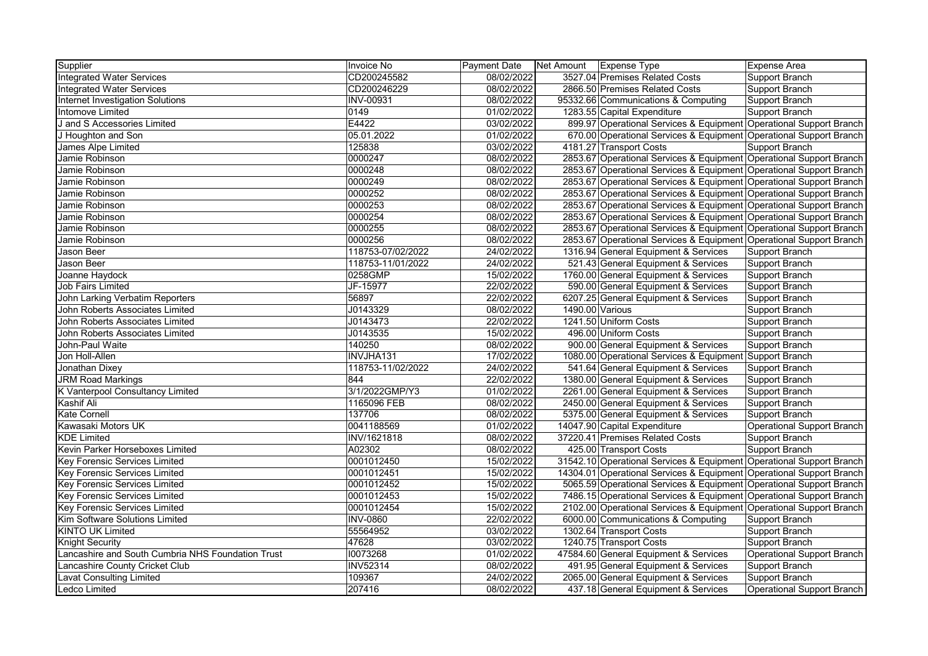| Supplier                                          | Invoice No        | <b>Payment Date</b> | Net Amount Expense Type                                              | <b>Expense Area</b>               |
|---------------------------------------------------|-------------------|---------------------|----------------------------------------------------------------------|-----------------------------------|
| <b>Integrated Water Services</b>                  | CD200245582       | 08/02/2022          | 3527.04 Premises Related Costs                                       | Support Branch                    |
| <b>Integrated Water Services</b>                  | CD200246229       | 08/02/2022          | 2866.50 Premises Related Costs                                       | Support Branch                    |
| Internet Investigation Solutions                  | INV-00931         | 08/02/2022          | 95332.66 Communications & Computing                                  | Support Branch                    |
| Intomove Limited                                  | 0149              | 01/02/2022          | 1283.55 Capital Expenditure                                          | Support Branch                    |
| J and S Accessories Limited                       | E4422             | 03/02/2022          | 899.97 Operational Services & Equipment Operational Support Branch   |                                   |
| J Houghton and Son                                | 05.01.2022        | 01/02/2022          | 670.00 Operational Services & Equipment Operational Support Branch   |                                   |
| James Alpe Limited                                | 125838            | 03/02/2022          | 4181.27 Transport Costs                                              | Support Branch                    |
| Jamie Robinson                                    | 0000247           | 08/02/2022          | 2853.67 Operational Services & Equipment Operational Support Branch  |                                   |
| Jamie Robinson                                    | 0000248           | 08/02/2022          | 2853.67 Operational Services & Equipment Operational Support Branch  |                                   |
| Jamie Robinson                                    | 0000249           | 08/02/2022          | 2853.67 Operational Services & Equipment Operational Support Branch  |                                   |
| Jamie Robinson                                    | 0000252           | 08/02/2022          | 2853.67 Operational Services & Equipment Operational Support Branch  |                                   |
| Jamie Robinson                                    | 0000253           | 08/02/2022          | 2853.67 Operational Services & Equipment Operational Support Branch  |                                   |
| Jamie Robinson                                    | 0000254           | 08/02/2022          | 2853.67 Operational Services & Equipment Operational Support Branch  |                                   |
| Jamie Robinson                                    | 0000255           | 08/02/2022          | 2853.67 Operational Services & Equipment Operational Support Branch  |                                   |
| Jamie Robinson                                    | 0000256           | 08/02/2022          | 2853.67 Operational Services & Equipment Operational Support Branch  |                                   |
| Jason Beer                                        | 118753-07/02/2022 | 24/02/2022          | 1316.94 General Equipment & Services                                 | Support Branch                    |
| Jason Beer                                        | 118753-11/01/2022 | 24/02/2022          | 521.43 General Equipment & Services                                  | Support Branch                    |
| Joanne Haydock                                    | 0258GMP           | 15/02/2022          | 1760.00 General Equipment & Services                                 | Support Branch                    |
| <b>Job Fairs Limited</b>                          | JF-15977          | 22/02/2022          | 590.00 General Equipment & Services                                  | Support Branch                    |
| John Larking Verbatim Reporters                   | 56897             | 22/02/2022          | 6207.25 General Equipment & Services                                 | Support Branch                    |
| John Roberts Associates Limited                   | J0143329          | 08/02/2022          | 1490.00 Various                                                      | Support Branch                    |
| John Roberts Associates Limited                   | J0143473          | 22/02/2022          | 1241.50 Uniform Costs                                                | Support Branch                    |
| John Roberts Associates Limited                   | J0143535          | 15/02/2022          | 496.00 Uniform Costs                                                 | Support Branch                    |
| John-Paul Waite                                   | 140250            | 08/02/2022          | 900.00 General Equipment & Services                                  | Support Branch                    |
| Jon Holl-Allen                                    | <b>INVJHA131</b>  | 17/02/2022          | 1080.00 Operational Services & Equipment Support Branch              |                                   |
| Jonathan Dixey                                    | 118753-11/02/2022 | 24/02/2022          | 541.64 General Equipment & Services                                  | Support Branch                    |
| <b>JRM Road Markings</b>                          | 844               | 22/02/2022          | 1380.00 General Equipment & Services                                 | Support Branch                    |
| K Vanterpool Consultancy Limited                  | 3/1/2022GMP/Y3    | 01/02/2022          | 2261.00 General Equipment & Services                                 | Support Branch                    |
| Kashif Ali                                        | 1165096 FEB       | 08/02/2022          | 2450.00 General Equipment & Services                                 | Support Branch                    |
| <b>Kate Cornell</b>                               | 137706            | 08/02/2022          | 5375.00 General Equipment & Services                                 | Support Branch                    |
| Kawasaki Motors UK                                | 0041188569        | 01/02/2022          | 14047.90 Capital Expenditure                                         | <b>Operational Support Branch</b> |
| <b>KDE Limited</b>                                | INV/1621818       | 08/02/2022          | 37220.41 Premises Related Costs                                      | Support Branch                    |
| Kevin Parker Horseboxes Limited                   | A02302            | 08/02/2022          | 425.00 Transport Costs                                               | Support Branch                    |
| Key Forensic Services Limited                     | 0001012450        | 15/02/2022          | 31542.10 Operational Services & Equipment Operational Support Branch |                                   |
| Key Forensic Services Limited                     | 0001012451        | 15/02/2022          | 14304.01 Operational Services & Equipment Operational Support Branch |                                   |
| <b>Key Forensic Services Limited</b>              | 0001012452        | 15/02/2022          | 5065.59 Operational Services & Equipment Operational Support Branch  |                                   |
| Key Forensic Services Limited                     | 0001012453        | 15/02/2022          | 7486.15 Operational Services & Equipment Operational Support Branch  |                                   |
| Key Forensic Services Limited                     | 0001012454        | 15/02/2022          | 2102.00 Operational Services & Equipment Operational Support Branch  |                                   |
| Kim Software Solutions Limited                    | <b>INV-0860</b>   | 22/02/2022          | 6000.00 Communications & Computing                                   | Support Branch                    |
| <b>KINTO UK Limited</b>                           | 55564952          | 03/02/2022          | 1302.64 Transport Costs                                              | Support Branch                    |
| <b>Knight Security</b>                            | 47628             | 03/02/2022          | 1240.75 Transport Costs                                              | Support Branch                    |
| Lancashire and South Cumbria NHS Foundation Trust | 10073268          | 01/02/2022          | 47584.60 General Equipment & Services                                | <b>Operational Support Branch</b> |
| Lancashire County Cricket Club                    | <b>INV52314</b>   | 08/02/2022          | 491.95 General Equipment & Services                                  | Support Branch                    |
| <b>Lavat Consulting Limited</b>                   | 109367            | 24/02/2022          | 2065.00 General Equipment & Services                                 | Support Branch                    |
| Ledco Limited                                     | 207416            | 08/02/2022          | 437.18 General Equipment & Services                                  | Operational Support Branch        |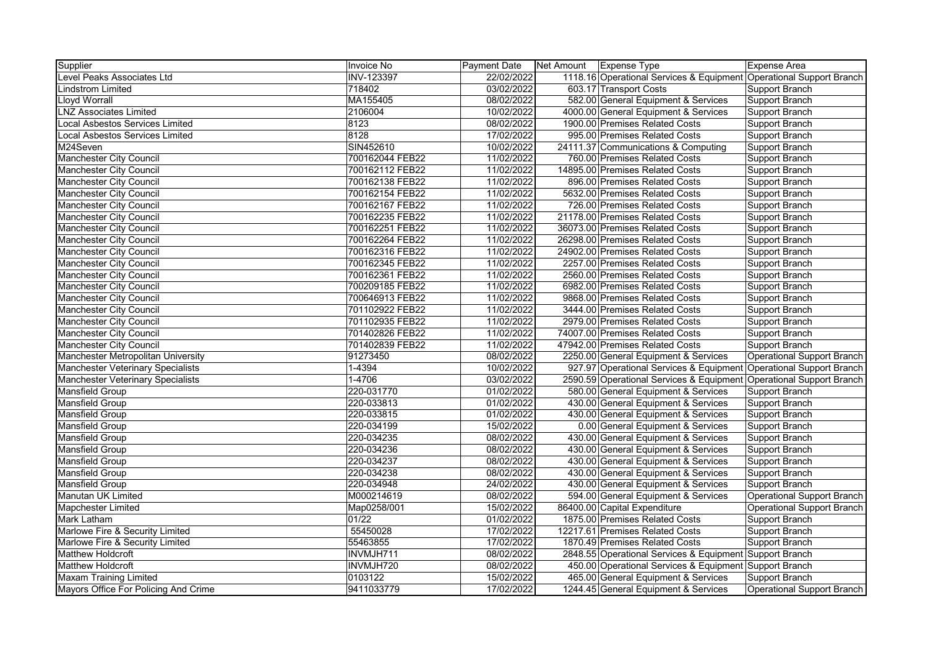| Supplier                                 | <b>Invoice No</b> | <b>Payment Date</b> | Net Amount Expense Type |                                                                     | <b>Expense Area</b>               |
|------------------------------------------|-------------------|---------------------|-------------------------|---------------------------------------------------------------------|-----------------------------------|
| Level Peaks Associates Ltd               | <b>INV-123397</b> | 22/02/2022          |                         | 1118.16 Operational Services & Equipment Operational Support Branch |                                   |
| <b>Lindstrom Limited</b>                 | 718402            | 03/02/2022          |                         | 603.17 Transport Costs                                              | Support Branch                    |
| <b>Lloyd Worrall</b>                     | MA155405          | 08/02/2022          |                         | 582.00 General Equipment & Services                                 | Support Branch                    |
| <b>LNZ Associates Limited</b>            | 2106004           | 10/02/2022          |                         | 4000.00 General Equipment & Services                                | Support Branch                    |
| <b>Local Asbestos Services Limited</b>   | 8123              | 08/02/2022          |                         | 1900.00 Premises Related Costs                                      | <b>Support Branch</b>             |
| <b>Local Asbestos Services Limited</b>   | 8128              | 17/02/2022          |                         | 995.00 Premises Related Costs                                       | Support Branch                    |
| M24Seven                                 | SIN452610         | 10/02/2022          |                         | 24111.37 Communications & Computing                                 | <b>Support Branch</b>             |
| <b>Manchester City Council</b>           | 700162044 FEB22   | 11/02/2022          |                         | 760.00 Premises Related Costs                                       | Support Branch                    |
| <b>Manchester City Council</b>           | 700162112 FEB22   | 11/02/2022          |                         | 14895.00 Premises Related Costs                                     | Support Branch                    |
| Manchester City Council                  | 700162138 FEB22   | 11/02/2022          |                         | 896.00 Premises Related Costs                                       | Support Branch                    |
| <b>Manchester City Council</b>           | 700162154 FEB22   | 11/02/2022          |                         | 5632.00 Premises Related Costs                                      | Support Branch                    |
| <b>Manchester City Council</b>           | 700162167 FEB22   | 11/02/2022          |                         | 726.00 Premises Related Costs                                       | Support Branch                    |
| <b>Manchester City Council</b>           | 700162235 FEB22   | 11/02/2022          |                         | 21178.00 Premises Related Costs                                     | <b>Support Branch</b>             |
| <b>Manchester City Council</b>           | 700162251 FEB22   | 11/02/2022          |                         | 36073.00 Premises Related Costs                                     | Support Branch                    |
| <b>Manchester City Council</b>           | 700162264 FEB22   | 11/02/2022          |                         | 26298.00 Premises Related Costs                                     | <b>Support Branch</b>             |
| Manchester City Council                  | 700162316 FEB22   | 11/02/2022          |                         | 24902.00 Premises Related Costs                                     | Support Branch                    |
| Manchester City Council                  | 700162345 FEB22   | 11/02/2022          |                         | 2257.00 Premises Related Costs                                      | Support Branch                    |
| Manchester City Council                  | 700162361 FEB22   | 11/02/2022          |                         | 2560.00 Premises Related Costs                                      | Support Branch                    |
| Manchester City Council                  | 700209185 FEB22   | 11/02/2022          |                         | 6982.00 Premises Related Costs                                      | <b>Support Branch</b>             |
| <b>Manchester City Council</b>           | 700646913 FEB22   | 11/02/2022          |                         | 9868.00 Premises Related Costs                                      | <b>Support Branch</b>             |
| <b>Manchester City Council</b>           | 701102922 FEB22   | 11/02/2022          |                         | 3444.00 Premises Related Costs                                      | <b>Support Branch</b>             |
| <b>Manchester City Council</b>           | 701102935 FEB22   | 11/02/2022          |                         | 2979.00 Premises Related Costs                                      | Support Branch                    |
| Manchester City Council                  | 701402826 FEB22   | 11/02/2022          |                         | 74007.00 Premises Related Costs                                     | Support Branch                    |
| Manchester City Council                  | 701402839 FEB22   | 11/02/2022          |                         | 47942.00 Premises Related Costs                                     | Support Branch                    |
| Manchester Metropolitan University       | 91273450          | 08/02/2022          |                         | 2250.00 General Equipment & Services                                | <b>Operational Support Branch</b> |
| <b>Manchester Veterinary Specialists</b> | $1 - 4394$        | 10/02/2022          |                         | 927.97 Operational Services & Equipment Operational Support Branch  |                                   |
| <b>Manchester Veterinary Specialists</b> | $1 - 4706$        | 03/02/2022          |                         | 2590.59 Operational Services & Equipment Operational Support Branch |                                   |
| <b>Mansfield Group</b>                   | 220-031770        | 01/02/2022          |                         | 580.00 General Equipment & Services                                 | Support Branch                    |
| <b>Mansfield Group</b>                   | 220-033813        | 01/02/2022          |                         | 430.00 General Equipment & Services                                 | Support Branch                    |
| <b>Mansfield Group</b>                   | 220-033815        | 01/02/2022          |                         | 430.00 General Equipment & Services                                 | Support Branch                    |
| <b>Mansfield Group</b>                   | 220-034199        | 15/02/2022          |                         | 0.00 General Equipment & Services                                   | <b>Support Branch</b>             |
| <b>Mansfield Group</b>                   | 220-034235        | 08/02/2022          |                         | 430.00 General Equipment & Services                                 | Support Branch                    |
| <b>Mansfield Group</b>                   | 220-034236        | 08/02/2022          |                         | 430.00 General Equipment & Services                                 | Support Branch                    |
| Mansfield Group                          | 220-034237        | 08/02/2022          |                         | 430.00 General Equipment & Services                                 | Support Branch                    |
| <b>Mansfield Group</b>                   | 220-034238        | 08/02/2022          |                         | 430.00 General Equipment & Services                                 | Support Branch                    |
| <b>Mansfield Group</b>                   | 220-034948        | 24/02/2022          |                         | 430.00 General Equipment & Services                                 | Support Branch                    |
| Manutan UK Limited                       | M000214619        | 08/02/2022          |                         | 594.00 General Equipment & Services                                 | <b>Operational Support Branch</b> |
| <b>Mapchester Limited</b>                | Map0258/001       | 15/02/2022          |                         | 86400.00 Capital Expenditure                                        | <b>Operational Support Branch</b> |
| Mark Latham                              | 01/22             | 01/02/2022          |                         | 1875.00 Premises Related Costs                                      | Support Branch                    |
| Marlowe Fire & Security Limited          | 55450028          | 17/02/2022          |                         | 12217.61 Premises Related Costs                                     | Support Branch                    |
| Marlowe Fire & Security Limited          | 55463855          | 17/02/2022          |                         | 1870.49 Premises Related Costs                                      | Support Branch                    |
| <b>Matthew Holdcroft</b>                 | INVMJH711         | 08/02/2022          |                         | 2848.55 Operational Services & Equipment Support Branch             |                                   |
| <b>Matthew Holdcroft</b>                 | INVMJH720         | 08/02/2022          |                         | 450.00 Operational Services & Equipment Support Branch              |                                   |
| <b>Maxam Training Limited</b>            | 0103122           | 15/02/2022          |                         | 465.00 General Equipment & Services                                 | Support Branch                    |
| Mayors Office For Policing And Crime     | 9411033779        | 17/02/2022          |                         | 1244.45 General Equipment & Services                                | Operational Support Branch        |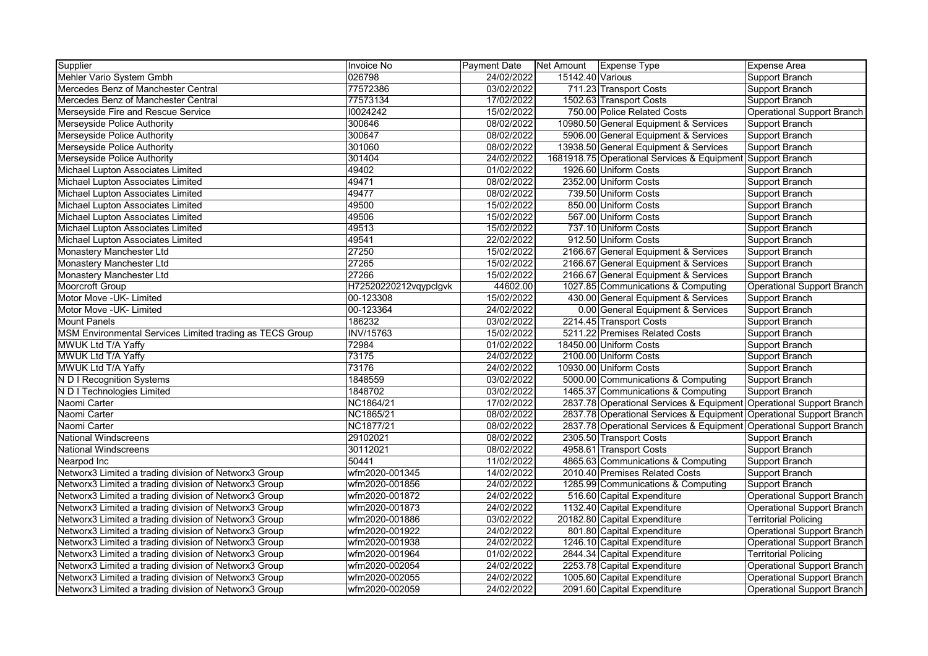| Supplier                                                 | Invoice No            | <b>Payment Date</b> | Net Amount Expense Type |                                                                     | <b>Expense Area</b>               |
|----------------------------------------------------------|-----------------------|---------------------|-------------------------|---------------------------------------------------------------------|-----------------------------------|
| Mehler Vario System Gmbh                                 | 026798                | 24/02/2022          | 15142.40 Various        |                                                                     | Support Branch                    |
| Mercedes Benz of Manchester Central                      | 77572386              | 03/02/2022          |                         | 711.23 Transport Costs                                              | Support Branch                    |
| Mercedes Benz of Manchester Central                      | 77573134              | 17/02/2022          |                         | 1502.63 Transport Costs                                             | Support Branch                    |
| Merseyside Fire and Rescue Service                       | 10024242              | 15/02/2022          |                         | 750.00 Police Related Costs                                         | Operational Support Branch        |
| Merseyside Police Authority                              | 300646                | 08/02/2022          |                         | 10980.50 General Equipment & Services                               | Support Branch                    |
| Merseyside Police Authority                              | 300647                | 08/02/2022          |                         | 5906.00 General Equipment & Services                                | Support Branch                    |
| Merseyside Police Authority                              | 301060                | 08/02/2022          |                         | 13938.50 General Equipment & Services                               | Support Branch                    |
| Merseyside Police Authority                              | 301404                | 24/02/2022          |                         | 1681918.75 Operational Services & Equipment Support Branch          |                                   |
| Michael Lupton Associates Limited                        | 49402                 | 01/02/2022          |                         | 1926.60 Uniform Costs                                               | Support Branch                    |
| Michael Lupton Associates Limited                        | 49471                 | 08/02/2022          |                         | 2352.00 Uniform Costs                                               | Support Branch                    |
| Michael Lupton Associates Limited                        | 49477                 | 08/02/2022          |                         | 739.50 Uniform Costs                                                | Support Branch                    |
| Michael Lupton Associates Limited                        | 49500                 | 15/02/2022          |                         | 850.00 Uniform Costs                                                | Support Branch                    |
| Michael Lupton Associates Limited                        | 49506                 | 15/02/2022          |                         | 567.00 Uniform Costs                                                | Support Branch                    |
| Michael Lupton Associates Limited                        | 49513                 | 15/02/2022          |                         | 737.10 Uniform Costs                                                | Support Branch                    |
| Michael Lupton Associates Limited                        | 49541                 | 22/02/2022          |                         | 912.50 Uniform Costs                                                | Support Branch                    |
| Monastery Manchester Ltd                                 | 27250                 | 15/02/2022          |                         | 2166.67 General Equipment & Services                                | Support Branch                    |
| Monastery Manchester Ltd                                 | 27265                 | 15/02/2022          |                         | 2166.67 General Equipment & Services                                | Support Branch                    |
| Monastery Manchester Ltd                                 | 27266                 | 15/02/2022          |                         | 2166.67 General Equipment & Services                                | Support Branch                    |
| Moorcroft Group                                          | H72520220212vqypclgvk | 44602.00            |                         | 1027.85 Communications & Computing                                  | <b>Operational Support Branch</b> |
| Motor Move - UK- Limited                                 | 00-123308             | 15/02/2022          |                         | 430.00 General Equipment & Services                                 | Support Branch                    |
| Motor Move - UK- Limited                                 | 00-123364             | 24/02/2022          |                         | 0.00 General Equipment & Services                                   | Support Branch                    |
| <b>Mount Panels</b>                                      | 186232                | 03/02/2022          |                         | 2214.45 Transport Costs                                             | Support Branch                    |
| MSM Environmental Services Limited trading as TECS Group | INV/15763             | 15/02/2022          |                         | 5211.22 Premises Related Costs                                      | Support Branch                    |
| MWUK Ltd T/A Yaffy                                       | 72984                 | 01/02/2022          |                         | 18450.00 Uniform Costs                                              | Support Branch                    |
| MWUK Ltd T/A Yaffy                                       | 73175                 | 24/02/2022          |                         | 2100.00 Uniform Costs                                               | Support Branch                    |
| MWUK Ltd T/A Yaffy                                       | 73176                 | 24/02/2022          |                         | 10930.00 Uniform Costs                                              | Support Branch                    |
| N D I Recognition Systems                                | 1848559               | 03/02/2022          |                         | 5000.00 Communications & Computing                                  | Support Branch                    |
| N D I Technologies Limited                               | 1848702               | 03/02/2022          |                         | 1465.37 Communications & Computing                                  | Support Branch                    |
| Naomi Carter                                             | NC1864/21             | 17/02/2022          |                         | 2837.78 Operational Services & Equipment Operational Support Branch |                                   |
| Naomi Carter                                             | NC1865/21             | 08/02/2022          |                         | 2837.78 Operational Services & Equipment Operational Support Branch |                                   |
| Naomi Carter                                             | NC1877/21             | 08/02/2022          |                         | 2837.78 Operational Services & Equipment Operational Support Branch |                                   |
| <b>National Windscreens</b>                              | 29102021              | 08/02/2022          |                         | 2305.50 Transport Costs                                             | Support Branch                    |
| <b>National Windscreens</b>                              | 30112021              | 08/02/2022          |                         | 4958.61 Transport Costs                                             | Support Branch                    |
| Nearpod Inc                                              | 50441                 | 11/02/2022          |                         | 4865.63 Communications & Computing                                  | Support Branch                    |
| Networx3 Limited a trading division of Networx3 Group    | wfm2020-001345        | 14/02/2022          |                         | 2010.40 Premises Related Costs                                      | Support Branch                    |
| Networx3 Limited a trading division of Networx3 Group    | wfm2020-001856        | 24/02/2022          |                         | 1285.99 Communications & Computing                                  | Support Branch                    |
| Networx3 Limited a trading division of Networx3 Group    | wfm2020-001872        | 24/02/2022          |                         | 516.60 Capital Expenditure                                          | Operational Support Branch        |
| Networx3 Limited a trading division of Networx3 Group    | wfm2020-001873        | 24/02/2022          |                         | 1132.40 Capital Expenditure                                         | <b>Operational Support Branch</b> |
| Networx3 Limited a trading division of Networx3 Group    | wfm2020-001886        | 03/02/2022          |                         | 20182.80 Capital Expenditure                                        | <b>Territorial Policing</b>       |
| Networx3 Limited a trading division of Networx3 Group    | wfm2020-001922        | 24/02/2022          |                         | 801.80 Capital Expenditure                                          | Operational Support Branch        |
| Networx3 Limited a trading division of Networx3 Group    | wfm2020-001938        | 24/02/2022          |                         | 1246.10 Capital Expenditure                                         | <b>Operational Support Branch</b> |
| Networx3 Limited a trading division of Networx3 Group    | wfm2020-001964        | 01/02/2022          |                         | 2844.34 Capital Expenditure                                         | <b>Territorial Policing</b>       |
| Networx3 Limited a trading division of Networx3 Group    | wfm2020-002054        | 24/02/2022          |                         | 2253.78 Capital Expenditure                                         | Operational Support Branch        |
| Networx3 Limited a trading division of Networx3 Group    | wfm2020-002055        | 24/02/2022          |                         | 1005.60 Capital Expenditure                                         | <b>Operational Support Branch</b> |
| Networx3 Limited a trading division of Networx3 Group    | wfm2020-002059        | 24/02/2022          |                         | 2091.60 Capital Expenditure                                         | Operational Support Branch        |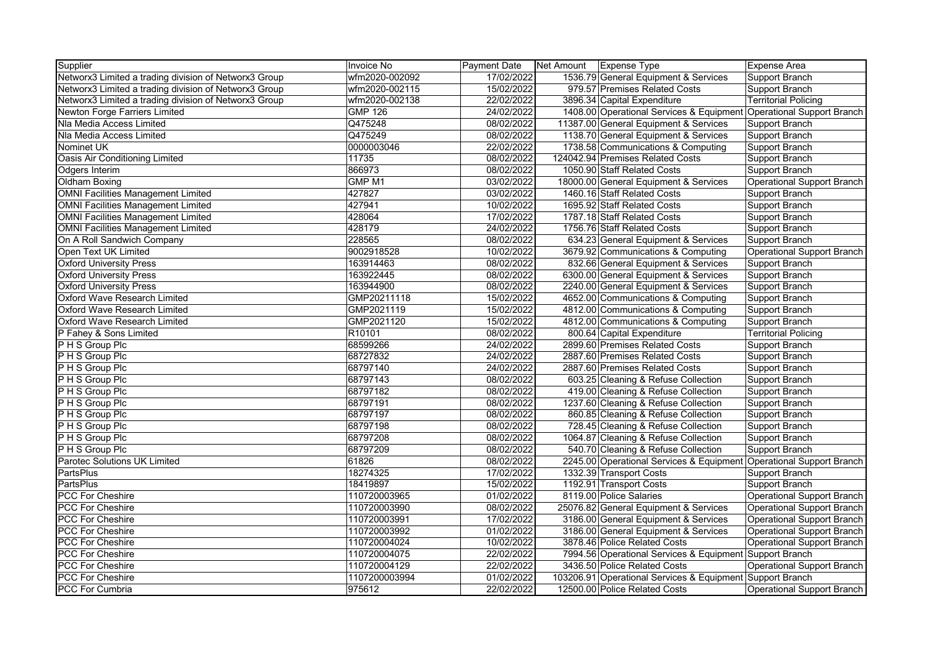| Supplier                                              | Invoice No        | <b>Payment Date</b> | Net Amount | Expense Type                                                        | Expense Area                |
|-------------------------------------------------------|-------------------|---------------------|------------|---------------------------------------------------------------------|-----------------------------|
| Networx3 Limited a trading division of Networx3 Group | wfm2020-002092    | 17/02/2022          |            | 1536.79 General Equipment & Services                                | Support Branch              |
| Networx3 Limited a trading division of Networx3 Group | wfm2020-002115    | 15/02/2022          |            | 979.57 Premises Related Costs                                       | Support Branch              |
| Networx3 Limited a trading division of Networx3 Group | wfm2020-002138    | 22/02/2022          |            | 3896.34 Capital Expenditure                                         | <b>Territorial Policing</b> |
| Newton Forge Farriers Limited                         | <b>GMP 126</b>    | 24/02/2022          |            | 1408.00 Operational Services & Equipment                            | Operational Support Branch  |
| Nla Media Access Limited                              | Q475248           | 08/02/2022          |            | 11387.00 General Equipment & Services                               | Support Branch              |
| Nla Media Access Limited                              | Q475249           | 08/02/2022          |            | 1138.70 General Equipment & Services                                | Support Branch              |
| Nominet UK                                            | 0000003046        | 22/02/2022          |            | 1738.58 Communications & Computing                                  | Support Branch              |
| Oasis Air Conditioning Limited                        | 11735             | 08/02/2022          |            | 124042.94 Premises Related Costs                                    | Support Branch              |
| Odgers Interim                                        | 866973            | 08/02/2022          |            | 1050.90 Staff Related Costs                                         | Support Branch              |
| Oldham Boxing                                         | GMP <sub>M1</sub> | 03/02/2022          |            | 18000.00 General Equipment & Services                               | Operational Support Branch  |
| <b>OMNI Facilities Management Limited</b>             | 427827            | 03/02/2022          |            | 1460.16 Staff Related Costs                                         | Support Branch              |
| <b>OMNI Facilities Management Limited</b>             | 427941            | 10/02/2022          |            | 1695.92 Staff Related Costs                                         | Support Branch              |
| <b>OMNI Facilities Management Limited</b>             | 428064            | 17/02/2022          |            | 1787.18 Staff Related Costs                                         | Support Branch              |
| <b>OMNI Facilities Management Limited</b>             | 428179            | 24/02/2022          |            | 1756.76 Staff Related Costs                                         | Support Branch              |
| On A Roll Sandwich Company                            | 228565            | 08/02/2022          |            | 634.23 General Equipment & Services                                 | Support Branch              |
| Open Text UK Limited                                  | 9002918528        | 10/02/2022          |            | 3679.92 Communications & Computing                                  | Operational Support Branch  |
| <b>Oxford University Press</b>                        | 163914463         | 08/02/2022          |            | 832.66 General Equipment & Services                                 | Support Branch              |
| <b>Oxford University Press</b>                        | 163922445         | 08/02/2022          |            | 6300.00 General Equipment & Services                                | Support Branch              |
| <b>Oxford University Press</b>                        | 163944900         | 08/02/2022          |            | 2240.00 General Equipment & Services                                | Support Branch              |
| <b>Oxford Wave Research Limited</b>                   | GMP20211118       | 15/02/2022          |            | 4652.00 Communications & Computing                                  | Support Branch              |
| <b>Oxford Wave Research Limited</b>                   | GMP2021119        | 15/02/2022          |            | 4812.00 Communications & Computing                                  | Support Branch              |
| Oxford Wave Research Limited                          | GMP2021120        | 15/02/2022          |            | 4812.00 Communications & Computing                                  | Support Branch              |
| P Fahey & Sons Limited                                | R10101            | 08/02/2022          |            | 800.64 Capital Expenditure                                          | <b>Territorial Policing</b> |
| P H S Group Plc                                       | 68599266          | 24/02/2022          |            | 2899.60 Premises Related Costs                                      | Support Branch              |
| P H S Group Plc                                       | 68727832          | 24/02/2022          |            | 2887.60 Premises Related Costs                                      | Support Branch              |
| P H S Group Plc                                       | 68797140          | 24/02/2022          |            | 2887.60 Premises Related Costs                                      | Support Branch              |
| P H S Group Plc                                       | 68797143          | 08/02/2022          |            | 603.25 Cleaning & Refuse Collection                                 | Support Branch              |
| P H S Group Plc                                       | 68797182          | 08/02/2022          |            | 419.00 Cleaning & Refuse Collection                                 | Support Branch              |
| P H S Group Plc                                       | 68797191          | 08/02/2022          |            | 1237.60 Cleaning & Refuse Collection                                | Support Branch              |
| P H S Group Plc                                       | 68797197          | 08/02/2022          |            | 860.85 Cleaning & Refuse Collection                                 | Support Branch              |
| P H S Group Plc                                       | 68797198          | 08/02/2022          |            | 728.45 Cleaning & Refuse Collection                                 | Support Branch              |
| P H S Group Plc                                       | 68797208          | 08/02/2022          |            | 1064.87 Cleaning & Refuse Collection                                | Support Branch              |
| P H S Group Plc                                       | 68797209          | 08/02/2022          |            | 540.70 Cleaning & Refuse Collection                                 | Support Branch              |
| Parotec Solutions UK Limited                          | 61826             | 08/02/2022          |            | 2245.00 Operational Services & Equipment Operational Support Branch |                             |
| <b>PartsPlus</b>                                      | 18274325          | 17/02/2022          |            | 1332.39 Transport Costs                                             | Support Branch              |
| <b>PartsPlus</b>                                      | 18419897          | 15/02/2022          |            | 1192.91 Transport Costs                                             | Support Branch              |
| <b>PCC For Cheshire</b>                               | 110720003965      | 01/02/2022          |            | 8119.00 Police Salaries                                             | Operational Support Branch  |
| <b>PCC For Cheshire</b>                               | 110720003990      | 08/02/2022          |            | 25076.82 General Equipment & Services                               | Operational Support Branch  |
| <b>PCC For Cheshire</b>                               | 110720003991      | 17/02/2022          |            | 3186.00 General Equipment & Services                                | Operational Support Branch  |
| <b>PCC For Cheshire</b>                               | 110720003992      | 01/02/2022          |            | 3186.00 General Equipment & Services                                | Operational Support Branch  |
| <b>PCC For Cheshire</b>                               | 110720004024      | 10/02/2022          |            | 3878.46 Police Related Costs                                        | Operational Support Branch  |
| <b>PCC For Cheshire</b>                               | 110720004075      | 22/02/2022          |            | 7994.56 Operational Services & Equipment Support Branch             |                             |
| <b>PCC For Cheshire</b>                               | 110720004129      | 22/02/2022          |            | 3436.50 Police Related Costs                                        | Operational Support Branch  |
| <b>PCC For Cheshire</b>                               | 1107200003994     | 01/02/2022          |            | 103206.91 Operational Services & Equipment Support Branch           |                             |
| <b>PCC For Cumbria</b>                                | 975612            | 22/02/2022          |            | 12500.00 Police Related Costs                                       | Operational Support Branch  |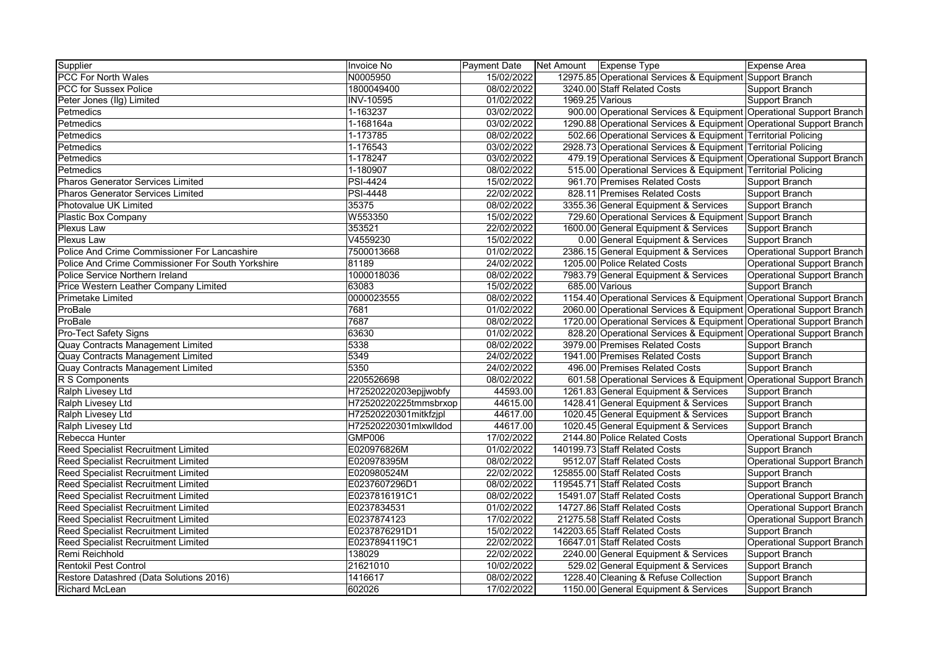| Supplier                                          | Invoice No            | Payment Date Net Amount Expense Type |                 |                                                                     | Expense Area                      |
|---------------------------------------------------|-----------------------|--------------------------------------|-----------------|---------------------------------------------------------------------|-----------------------------------|
| <b>PCC For North Wales</b>                        | N0005950              | 15/02/2022                           |                 | 12975.85 Operational Services & Equipment Support Branch            |                                   |
| <b>PCC for Sussex Police</b>                      | 1800049400            | 08/02/2022                           |                 | 3240.00 Staff Related Costs                                         | Support Branch                    |
| Peter Jones (IIg) Limited                         | <b>INV-10595</b>      | 01/02/2022                           | 1969.25 Various |                                                                     | Support Branch                    |
| Petmedics                                         | 1-163237              | 03/02/2022                           |                 | 900.00 Operational Services & Equipment Operational Support Branch  |                                   |
| Petmedics                                         | 1-168164a             | 03/02/2022                           |                 | 1290.88 Operational Services & Equipment Operational Support Branch |                                   |
| Petmedics                                         | 1-173785              | 08/02/2022                           |                 | 502.66 Operational Services & Equipment Territorial Policing        |                                   |
| Petmedics                                         | 1-176543              | 03/02/2022                           |                 | 2928.73 Operational Services & Equipment Territorial Policing       |                                   |
| <b>Petmedics</b>                                  | 1-178247              | 03/02/2022                           |                 | 479.19 Operational Services & Equipment Operational Support Branch  |                                   |
| Petmedics                                         | 1-180907              | 08/02/2022                           |                 | 515.00 Operational Services & Equipment Territorial Policing        |                                   |
| <b>Pharos Generator Services Limited</b>          | <b>PSI-4424</b>       | 15/02/2022                           |                 | 961.70 Premises Related Costs                                       | Support Branch                    |
| <b>Pharos Generator Services Limited</b>          | <b>PSI-4448</b>       | 22/02/2022                           |                 | 828.11 Premises Related Costs                                       | Support Branch                    |
| Photovalue UK Limited                             | 35375                 | 08/02/2022                           |                 | 3355.36 General Equipment & Services                                | Support Branch                    |
| <b>Plastic Box Company</b>                        | W553350               | 15/02/2022                           |                 | 729.60 Operational Services & Equipment Support Branch              |                                   |
| <b>Plexus Law</b>                                 | 353521                | 22/02/2022                           |                 | 1600.00 General Equipment & Services                                | Support Branch                    |
| <b>Plexus Law</b>                                 | V4559230              | 15/02/2022                           |                 | 0.00 General Equipment & Services                                   | Support Branch                    |
| Police And Crime Commissioner For Lancashire      | 7500013668            | 01/02/2022                           |                 | 2386.15 General Equipment & Services                                | Operational Support Branch        |
| Police And Crime Commissioner For South Yorkshire | 81189                 | 24/02/2022                           |                 | 1205.00 Police Related Costs                                        | Operational Support Branch        |
| Police Service Northern Ireland                   | 1000018036            | 08/02/2022                           |                 | 7983.79 General Equipment & Services                                | Operational Support Branch        |
| Price Western Leather Company Limited             | 63083                 | 15/02/2022                           |                 | 685.00 Various                                                      | Support Branch                    |
| <b>Primetake Limited</b>                          | 0000023555            | 08/02/2022                           |                 | 1154.40 Operational Services & Equipment Operational Support Branch |                                   |
| ProBale                                           | 7681                  | 01/02/2022                           |                 | 2060.00 Operational Services & Equipment Operational Support Branch |                                   |
| ProBale                                           | 7687                  | 08/02/2022                           |                 | 1720.00 Operational Services & Equipment Operational Support Branch |                                   |
| Pro-Tect Safety Signs                             | 63630                 | 01/02/2022                           |                 | 828.20 Operational Services & Equipment Operational Support Branch  |                                   |
| Quay Contracts Management Limited                 | 5338                  | 08/02/2022                           |                 | 3979.00 Premises Related Costs                                      | Support Branch                    |
| Quay Contracts Management Limited                 | 5349                  | 24/02/2022                           |                 | 1941.00 Premises Related Costs                                      | Support Branch                    |
| Quay Contracts Management Limited                 | 5350                  | 24/02/2022                           |                 | 496.00 Premises Related Costs                                       | Support Branch                    |
| R S Components                                    | 2205526698            | 08/02/2022                           |                 | 601.58 Operational Services & Equipment Operational Support Branch  |                                   |
| Ralph Livesey Ltd                                 | H72520220203epjjwobfy | 44593.00                             |                 | 1261.83 General Equipment & Services                                | Support Branch                    |
| Ralph Livesey Ltd                                 | H72520220225tmmsbrxop | 44615.00                             |                 | 1428.41 General Equipment & Services                                | Support Branch                    |
| Ralph Livesey Ltd                                 | H72520220301mitkfzjpl | 44617.00                             |                 | 1020.45 General Equipment & Services                                | Support Branch                    |
| Ralph Livesey Ltd                                 | H72520220301mlxwlldod | 44617.00                             |                 | 1020.45 General Equipment & Services                                | Support Branch                    |
| Rebecca Hunter                                    | <b>GMP006</b>         | 17/02/2022                           |                 | 2144.80 Police Related Costs                                        | <b>Operational Support Branch</b> |
| <b>Reed Specialist Recruitment Limited</b>        | E020976826M           | 01/02/2022                           |                 | 140199.73 Staff Related Costs                                       | Support Branch                    |
| Reed Specialist Recruitment Limited               | E020978395M           | 08/02/2022                           |                 | 9512.07 Staff Related Costs                                         | Operational Support Branch        |
| Reed Specialist Recruitment Limited               | E020980524M           | 22/02/2022                           |                 | 125855.00 Staff Related Costs                                       | Support Branch                    |
| <b>Reed Specialist Recruitment Limited</b>        | E0237607296D1         | 08/02/2022                           |                 | 119545.71 Staff Related Costs                                       | Support Branch                    |
| <b>Reed Specialist Recruitment Limited</b>        | E0237816191C1         | 08/02/2022                           |                 | 15491.07 Staff Related Costs                                        | Operational Support Branch        |
| Reed Specialist Recruitment Limited               | E0237834531           | 01/02/2022                           |                 | 14727.86 Staff Related Costs                                        | <b>Operational Support Branch</b> |
| Reed Specialist Recruitment Limited               | E0237874123           | 17/02/2022                           |                 | 21275.58 Staff Related Costs                                        | Operational Support Branch        |
| <b>Reed Specialist Recruitment Limited</b>        | E0237876291D1         | 15/02/2022                           |                 | 142203.65 Staff Related Costs                                       | Support Branch                    |
| Reed Specialist Recruitment Limited               | E0237894119C1         | 22/02/2022                           |                 | 16647.01 Staff Related Costs                                        | Operational Support Branch        |
| Remi Reichhold                                    | 138029                | 22/02/2022                           |                 | 2240.00 General Equipment & Services                                | Support Branch                    |
| <b>Rentokil Pest Control</b>                      | 21621010              | 10/02/2022                           |                 | 529.02 General Equipment & Services                                 | Support Branch                    |
| Restore Datashred (Data Solutions 2016)           | 1416617               | 08/02/2022                           |                 | 1228.40 Cleaning & Refuse Collection                                | Support Branch                    |
| <b>Richard McLean</b>                             | 602026                | 17/02/2022                           |                 | 1150.00 General Equipment & Services                                | Support Branch                    |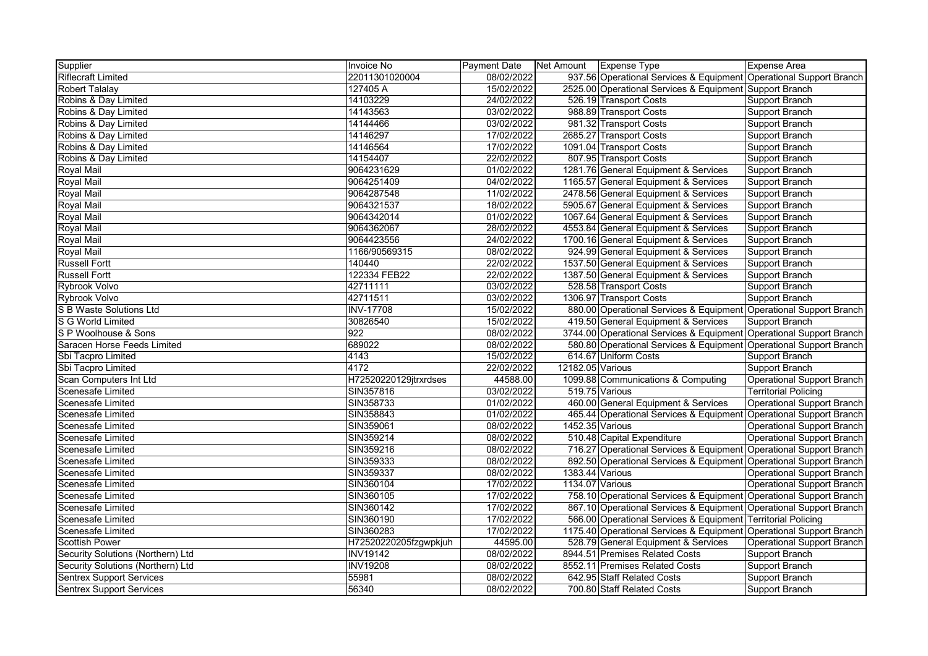| Supplier                          | Invoice No            | <b>Payment Date</b> | Net Amount Expense Type |                                                                     | <b>Expense Area</b>               |
|-----------------------------------|-----------------------|---------------------|-------------------------|---------------------------------------------------------------------|-----------------------------------|
| <b>Riflecraft Limited</b>         | 22011301020004        | 08/02/2022          |                         | 937.56 Operational Services & Equipment Operational Support Branch  |                                   |
| <b>Robert Talalay</b>             | 127405 A              | 15/02/2022          |                         | 2525.00 Operational Services & Equipment Support Branch             |                                   |
| Robins & Day Limited              | 14103229              | 24/02/2022          |                         | 526.19 Transport Costs                                              | <b>Support Branch</b>             |
| Robins & Day Limited              | 14143563              | 03/02/2022          |                         | 988.89 Transport Costs                                              | <b>Support Branch</b>             |
| Robins & Day Limited              | 14144466              | 03/02/2022          |                         | 981.32 Transport Costs                                              | <b>Support Branch</b>             |
| Robins & Day Limited              | 14146297              | 17/02/2022          |                         | 2685.27 Transport Costs                                             | <b>Support Branch</b>             |
| Robins & Day Limited              | 14146564              | 17/02/2022          |                         | 1091.04 Transport Costs                                             | <b>Support Branch</b>             |
| Robins & Day Limited              | 14154407              | 22/02/2022          |                         | 807.95 Transport Costs                                              | <b>Support Branch</b>             |
| <b>Royal Mail</b>                 | 9064231629            | 01/02/2022          |                         | 1281.76 General Equipment & Services                                | <b>Support Branch</b>             |
| Royal Mail                        | 9064251409            | 04/02/2022          |                         | 1165.57 General Equipment & Services                                | Support Branch                    |
| <b>Royal Mail</b>                 | 9064287548            | 11/02/2022          |                         | 2478.56 General Equipment & Services                                | <b>Support Branch</b>             |
| <b>Royal Mail</b>                 | 9064321537            | 18/02/2022          |                         | 5905.67 General Equipment & Services                                | Support Branch                    |
| Royal Mail                        | 9064342014            | 01/02/2022          |                         | 1067.64 General Equipment & Services                                | Support Branch                    |
| <b>Royal Mail</b>                 | 9064362067            | 28/02/2022          |                         | 4553.84 General Equipment & Services                                | Support Branch                    |
| <b>Royal Mail</b>                 | 9064423556            | 24/02/2022          |                         | 1700.16 General Equipment & Services                                | <b>Support Branch</b>             |
| <b>Royal Mail</b>                 | 1166/90569315         | 08/02/2022          |                         | 924.99 General Equipment & Services                                 | Support Branch                    |
| <b>Russell Fortt</b>              | 140440                | 22/02/2022          |                         | 1537.50 General Equipment & Services                                | <b>Support Branch</b>             |
| <b>Russell Fortt</b>              | 122334 FEB22          | 22/02/2022          |                         | 1387.50 General Equipment & Services                                | Support Branch                    |
| Rybrook Volvo                     | 42711111              | 03/02/2022          |                         | 528.58 Transport Costs                                              | Support Branch                    |
| Rybrook Volvo                     | 42711511              | 03/02/2022          |                         | 1306.97 Transport Costs                                             | <b>Support Branch</b>             |
| <b>S B Waste Solutions Ltd</b>    | <b>INV-17708</b>      | 15/02/2022          |                         | 880.00 Operational Services & Equipment Operational Support Branch  |                                   |
| S G World Limited                 | 30826540              | 15/02/2022          |                         | 419.50 General Equipment & Services                                 | <b>Support Branch</b>             |
| S P Woolhouse & Sons              | 922                   | 08/02/2022          |                         | 3744.00 Operational Services & Equipment Operational Support Branch |                                   |
| Saracen Horse Feeds Limited       | 689022                | 08/02/2022          |                         | 580.80 Operational Services & Equipment Operational Support Branch  |                                   |
| Sbi Tacpro Limited                | 4143                  | 15/02/2022          |                         | 614.67 Uniform Costs                                                | <b>Support Branch</b>             |
| Sbi Tacpro Limited                | 4172                  | 22/02/2022          | 12182.05 Various        |                                                                     | <b>Support Branch</b>             |
| Scan Computers Int Ltd            | H72520220129jtrxrdses | 44588.00            |                         | 1099.88 Communications & Computing                                  | <b>Operational Support Branch</b> |
| Scenesafe Limited                 | SIN357816             | 03/02/2022          |                         | 519.75 Various                                                      | <b>Territorial Policing</b>       |
| Scenesafe Limited                 | SIN358733             | 01/02/2022          |                         | 460.00 General Equipment & Services                                 | <b>Operational Support Branch</b> |
| <b>Scenesafe Limited</b>          | SIN358843             | 01/02/2022          |                         | 465.44 Operational Services & Equipment Operational Support Branch  |                                   |
| <b>Scenesafe Limited</b>          | SIN359061             | 08/02/2022          | 1452.35 Various         |                                                                     | <b>Operational Support Branch</b> |
| <b>Scenesafe Limited</b>          | SIN359214             | 08/02/2022          |                         | 510.48 Capital Expenditure                                          | <b>Operational Support Branch</b> |
| <b>Scenesafe Limited</b>          | SIN359216             | 08/02/2022          |                         | 716.27 Operational Services & Equipment Operational Support Branch  |                                   |
| <b>Scenesafe Limited</b>          | SIN359333             | 08/02/2022          |                         | 892.50 Operational Services & Equipment Operational Support Branch  |                                   |
| <b>Scenesafe Limited</b>          | SIN359337             | 08/02/2022          | 1383.44 Various         |                                                                     | <b>Operational Support Branch</b> |
| <b>Scenesafe Limited</b>          | SIN360104             | 17/02/2022          | 1134.07 Various         |                                                                     | <b>Operational Support Branch</b> |
| Scenesafe Limited                 | SIN360105             | 17/02/2022          |                         | 758.10 Operational Services & Equipment Operational Support Branch  |                                   |
| Scenesafe Limited                 | SIN360142             | 17/02/2022          |                         | 867.10 Operational Services & Equipment Operational Support Branch  |                                   |
| <b>Scenesafe Limited</b>          | SIN360190             | 17/02/2022          |                         | 566.00 Operational Services & Equipment Territorial Policing        |                                   |
| Scenesafe Limited                 | SIN360283             | 17/02/2022          |                         | 1175.40 Operational Services & Equipment Operational Support Branch |                                   |
| <b>Scottish Power</b>             | H72520220205fzgwpkjuh | 44595.00            |                         | 528.79 General Equipment & Services                                 | <b>Operational Support Branch</b> |
| Security Solutions (Northern) Ltd | <b>INV19142</b>       | 08/02/2022          |                         | 8944.51 Premises Related Costs                                      | <b>Support Branch</b>             |
| Security Solutions (Northern) Ltd | <b>INV19208</b>       | 08/02/2022          |                         | 8552.11 Premises Related Costs                                      | Support Branch                    |
| <b>Sentrex Support Services</b>   | 55981                 | 08/02/2022          |                         | 642.95 Staff Related Costs                                          | Support Branch                    |
| <b>Sentrex Support Services</b>   | 56340                 | 08/02/2022          |                         | 700.80 Staff Related Costs                                          | Support Branch                    |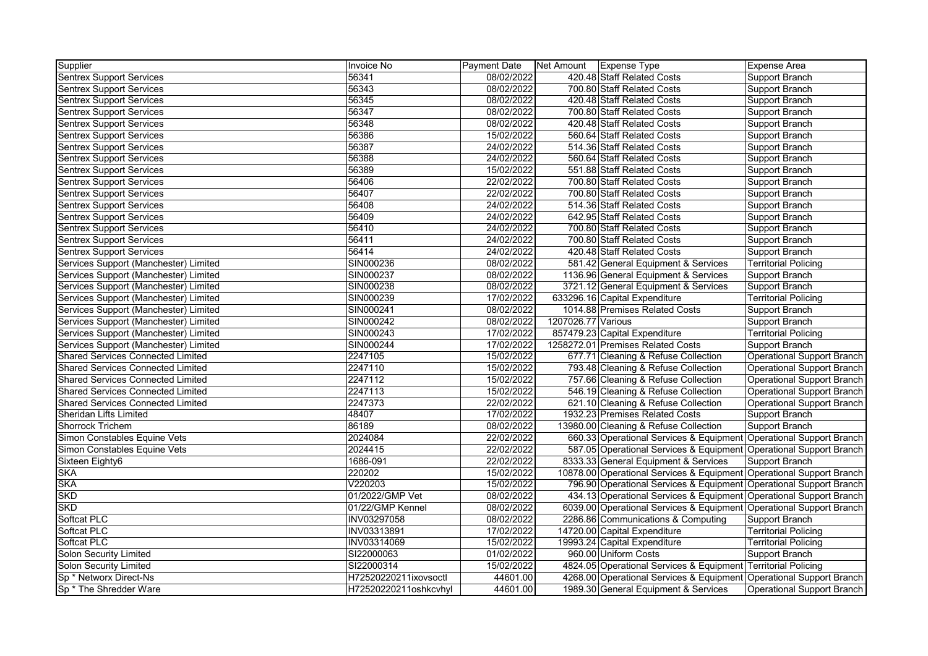| Supplier                                 | <b>Invoice No</b>     | <b>Payment Date</b> |                    | Net Amount   Expense Type                                            | <b>Expense Area</b>               |
|------------------------------------------|-----------------------|---------------------|--------------------|----------------------------------------------------------------------|-----------------------------------|
| <b>Sentrex Support Services</b>          | 56341                 | 08/02/2022          |                    | 420.48 Staff Related Costs                                           | Support Branch                    |
| <b>Sentrex Support Services</b>          | 56343                 | 08/02/2022          |                    | 700.80 Staff Related Costs                                           | Support Branch                    |
| <b>Sentrex Support Services</b>          | 56345                 | 08/02/2022          |                    | 420.48 Staff Related Costs                                           | Support Branch                    |
| <b>Sentrex Support Services</b>          | 56347                 | 08/02/2022          |                    | 700.80 Staff Related Costs                                           | Support Branch                    |
| <b>Sentrex Support Services</b>          | 56348                 | 08/02/2022          |                    | 420.48 Staff Related Costs                                           | Support Branch                    |
| <b>Sentrex Support Services</b>          | 56386                 | 15/02/2022          |                    | 560.64 Staff Related Costs                                           | Support Branch                    |
| <b>Sentrex Support Services</b>          | 56387                 | 24/02/2022          |                    | 514.36 Staff Related Costs                                           | Support Branch                    |
| <b>Sentrex Support Services</b>          | 56388                 | 24/02/2022          |                    | 560.64 Staff Related Costs                                           | Support Branch                    |
| <b>Sentrex Support Services</b>          | 56389                 | 15/02/2022          |                    | 551.88 Staff Related Costs                                           | Support Branch                    |
| <b>Sentrex Support Services</b>          | 56406                 | 22/02/2022          |                    | 700.80 Staff Related Costs                                           | Support Branch                    |
| <b>Sentrex Support Services</b>          | 56407                 | 22/02/2022          |                    | 700.80 Staff Related Costs                                           | Support Branch                    |
| <b>Sentrex Support Services</b>          | 56408                 | 24/02/2022          |                    | 514.36 Staff Related Costs                                           | Support Branch                    |
| <b>Sentrex Support Services</b>          | 56409                 | 24/02/2022          |                    | 642.95 Staff Related Costs                                           | Support Branch                    |
| <b>Sentrex Support Services</b>          | 56410                 | 24/02/2022          |                    | 700.80 Staff Related Costs                                           | Support Branch                    |
| <b>Sentrex Support Services</b>          | 56411                 | 24/02/2022          |                    | 700.80 Staff Related Costs                                           | Support Branch                    |
| <b>Sentrex Support Services</b>          | 56414                 | 24/02/2022          |                    | 420.48 Staff Related Costs                                           | Support Branch                    |
| Services Support (Manchester) Limited    | SIN000236             | 08/02/2022          |                    | 581.42 General Equipment & Services                                  | <b>Territorial Policing</b>       |
| Services Support (Manchester) Limited    | SIN000237             | 08/02/2022          |                    | 1136.96 General Equipment & Services                                 | Support Branch                    |
| Services Support (Manchester) Limited    | SIN000238             | 08/02/2022          |                    | 3721.12 General Equipment & Services                                 | Support Branch                    |
| Services Support (Manchester) Limited    | SIN000239             | 17/02/2022          |                    | 633296.16 Capital Expenditure                                        | <b>Territorial Policing</b>       |
| Services Support (Manchester) Limited    | SIN000241             | 08/02/2022          |                    | 1014.88 Premises Related Costs                                       | Support Branch                    |
| Services Support (Manchester) Limited    | SIN000242             | 08/02/2022          | 1207026.77 Various |                                                                      | Support Branch                    |
| Services Support (Manchester) Limited    | SIN000243             | 17/02/2022          |                    | 857479.23 Capital Expenditure                                        | <b>Territorial Policing</b>       |
| Services Support (Manchester) Limited    | SIN000244             | 17/02/2022          |                    | 1258272.01 Premises Related Costs                                    | Support Branch                    |
| <b>Shared Services Connected Limited</b> | 2247105               | 15/02/2022          |                    | 677.71 Cleaning & Refuse Collection                                  | Operational Support Branch        |
| <b>Shared Services Connected Limited</b> | 2247110               | 15/02/2022          |                    | 793.48 Cleaning & Refuse Collection                                  | <b>Operational Support Branch</b> |
| <b>Shared Services Connected Limited</b> | 2247112               | 15/02/2022          |                    | 757.66 Cleaning & Refuse Collection                                  | Operational Support Branch        |
| <b>Shared Services Connected Limited</b> | 2247113               | 15/02/2022          |                    | 546.19 Cleaning & Refuse Collection                                  | Operational Support Branch        |
| <b>Shared Services Connected Limited</b> | 2247373               | 22/02/2022          |                    | 621.10 Cleaning & Refuse Collection                                  | Operational Support Branch        |
| <b>Sheridan Lifts Limited</b>            | 48407                 | 17/02/2022          |                    | 1932.23 Premises Related Costs                                       | Support Branch                    |
| <b>Shorrock Trichem</b>                  | 86189                 | 08/02/2022          |                    | 13980.00 Cleaning & Refuse Collection                                | Support Branch                    |
| Simon Constables Equine Vets             | 2024084               | 22/02/2022          |                    | 660.33 Operational Services & Equipment Operational Support Branch   |                                   |
| Simon Constables Equine Vets             | 2024415               | 22/02/2022          |                    | 587.05 Operational Services & Equipment Operational Support Branch   |                                   |
| Sixteen Eighty6                          | 1686-091              | 22/02/2022          |                    | 8333.33 General Equipment & Services                                 | Support Branch                    |
| <b>SKA</b>                               | 220202                | 15/02/2022          |                    | 10878.00 Operational Services & Equipment Operational Support Branch |                                   |
| <b>SKA</b>                               | V220203               | 15/02/2022          |                    | 796.90 Operational Services & Equipment Operational Support Branch   |                                   |
| <b>SKD</b>                               | 01/2022/GMP Vet       | 08/02/2022          |                    | 434.13 Operational Services & Equipment Operational Support Branch   |                                   |
| <b>SKD</b>                               | 01/22/GMP Kennel      | 08/02/2022          |                    | 6039.00 Operational Services & Equipment Operational Support Branch  |                                   |
| Softcat PLC                              | INV03297058           | 08/02/2022          |                    | 2286.86 Communications & Computing                                   | Support Branch                    |
| Softcat PLC                              | INV03313891           | 17/02/2022          |                    | 14720.00 Capital Expenditure                                         | <b>Territorial Policing</b>       |
| Softcat PLC                              | INV03314069           | 15/02/2022          |                    | 19993.24 Capital Expenditure                                         | <b>Territorial Policing</b>       |
| <b>Solon Security Limited</b>            | SI22000063            | 01/02/2022          |                    | 960.00 Uniform Costs                                                 | Support Branch                    |
| Solon Security Limited                   | SI22000314            | 15/02/2022          |                    | 4824.05 Operational Services & Equipment Territorial Policing        |                                   |
| Sp * Networx Direct-Ns                   | H72520220211ixovsoctl | 44601.00            |                    | 4268.00 Operational Services & Equipment Operational Support Branch  |                                   |
| Sp <sup>*</sup> The Shredder Ware        | H72520220211oshkcvhyl | 44601.00            |                    | 1989.30 General Equipment & Services                                 | Operational Support Branch        |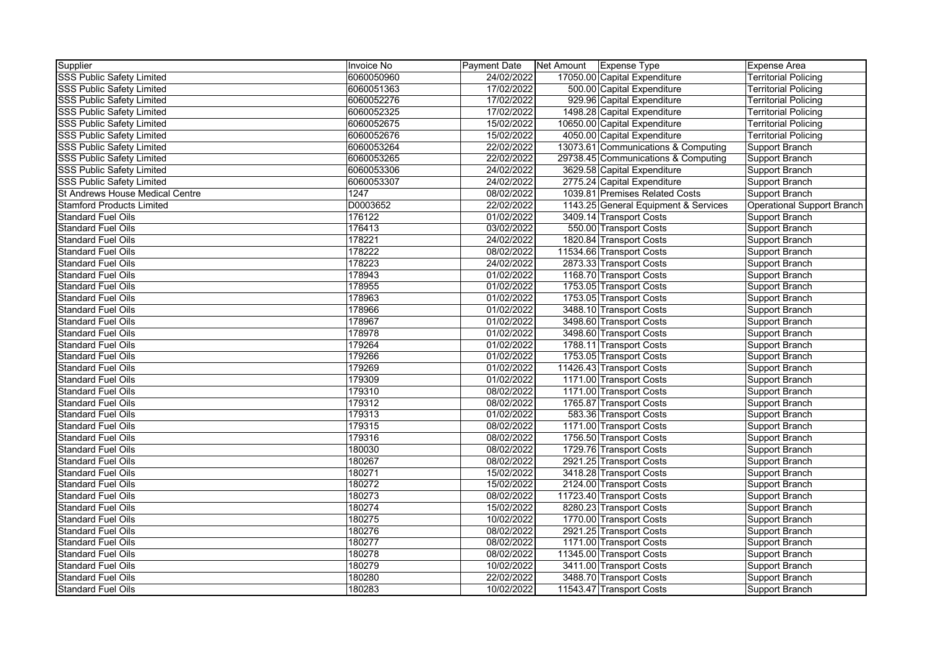| Supplier                         | Invoice No | Payment Date | Net Amount   Expense Type |                                      | <b>Expense Area</b>               |
|----------------------------------|------------|--------------|---------------------------|--------------------------------------|-----------------------------------|
| <b>SSS Public Safety Limited</b> | 6060050960 | 24/02/2022   |                           | 17050.00 Capital Expenditure         | <b>Territorial Policing</b>       |
| <b>SSS Public Safety Limited</b> | 6060051363 | 17/02/2022   |                           | 500.00 Capital Expenditure           | <b>Territorial Policing</b>       |
| <b>SSS Public Safety Limited</b> | 6060052276 | 17/02/2022   |                           | 929.96 Capital Expenditure           | <b>Territorial Policing</b>       |
| <b>SSS Public Safety Limited</b> | 6060052325 | 17/02/2022   |                           | 1498.28 Capital Expenditure          | <b>Territorial Policing</b>       |
| <b>SSS Public Safety Limited</b> | 6060052675 | 15/02/2022   |                           | 10650.00 Capital Expenditure         | <b>Territorial Policing</b>       |
| <b>SSS Public Safety Limited</b> | 6060052676 | 15/02/2022   |                           | 4050.00 Capital Expenditure          | <b>Territorial Policing</b>       |
| <b>SSS Public Safety Limited</b> | 6060053264 | 22/02/2022   |                           | 13073.61 Communications & Computing  | Support Branch                    |
| <b>SSS Public Safety Limited</b> | 6060053265 | 22/02/2022   |                           | 29738.45 Communications & Computing  | Support Branch                    |
| <b>SSS Public Safety Limited</b> | 6060053306 | 24/02/2022   |                           | 3629.58 Capital Expenditure          | Support Branch                    |
| <b>SSS Public Safety Limited</b> | 6060053307 | 24/02/2022   |                           | 2775.24 Capital Expenditure          | Support Branch                    |
| St Andrews House Medical Centre  | 1247       | 08/02/2022   |                           | 1039.81 Premises Related Costs       | Support Branch                    |
| <b>Stamford Products Limited</b> | D0003652   | 22/02/2022   |                           | 1143.25 General Equipment & Services | <b>Operational Support Branch</b> |
| <b>Standard Fuel Oils</b>        | 176122     | 01/02/2022   |                           | 3409.14 Transport Costs              | Support Branch                    |
| <b>Standard Fuel Oils</b>        | 176413     | 03/02/2022   |                           | 550.00 Transport Costs               | Support Branch                    |
| <b>Standard Fuel Oils</b>        | 178221     | 24/02/2022   |                           | 1820.84 Transport Costs              | Support Branch                    |
| <b>Standard Fuel Oils</b>        | 178222     | 08/02/2022   |                           | 11534.66 Transport Costs             | Support Branch                    |
| <b>Standard Fuel Oils</b>        | 178223     | 24/02/2022   |                           | 2873.33 Transport Costs              | Support Branch                    |
| <b>Standard Fuel Oils</b>        | 178943     | 01/02/2022   |                           | 1168.70 Transport Costs              | Support Branch                    |
| <b>Standard Fuel Oils</b>        | 178955     | 01/02/2022   |                           | 1753.05 Transport Costs              | Support Branch                    |
| <b>Standard Fuel Oils</b>        | 178963     | 01/02/2022   |                           | 1753.05 Transport Costs              | Support Branch                    |
| <b>Standard Fuel Oils</b>        | 178966     | 01/02/2022   |                           | 3488.10 Transport Costs              | Support Branch                    |
| <b>Standard Fuel Oils</b>        | 178967     | 01/02/2022   |                           | 3498.60 Transport Costs              | Support Branch                    |
| <b>Standard Fuel Oils</b>        | 178978     | 01/02/2022   |                           | 3498.60 Transport Costs              | Support Branch                    |
| <b>Standard Fuel Oils</b>        | 179264     | 01/02/2022   |                           | 1788.11 Transport Costs              | Support Branch                    |
| <b>Standard Fuel Oils</b>        | 179266     | 01/02/2022   |                           | 1753.05 Transport Costs              | Support Branch                    |
| <b>Standard Fuel Oils</b>        | 179269     | 01/02/2022   |                           | 11426.43 Transport Costs             | Support Branch                    |
| <b>Standard Fuel Oils</b>        | 179309     | 01/02/2022   |                           | 1171.00 Transport Costs              | Support Branch                    |
| <b>Standard Fuel Oils</b>        | 179310     | 08/02/2022   |                           | 1171.00 Transport Costs              | Support Branch                    |
| <b>Standard Fuel Oils</b>        | 179312     | 08/02/2022   |                           | 1765.87 Transport Costs              | Support Branch                    |
| <b>Standard Fuel Oils</b>        | 179313     | 01/02/2022   |                           | 583.36 Transport Costs               | Support Branch                    |
| <b>Standard Fuel Oils</b>        | 179315     | 08/02/2022   |                           | 1171.00 Transport Costs              | Support Branch                    |
| <b>Standard Fuel Oils</b>        | 179316     | 08/02/2022   |                           | 1756.50 Transport Costs              | Support Branch                    |
| <b>Standard Fuel Oils</b>        | 180030     | 08/02/2022   |                           | 1729.76 Transport Costs              | Support Branch                    |
| <b>Standard Fuel Oils</b>        | 180267     | 08/02/2022   |                           | 2921.25 Transport Costs              | Support Branch                    |
| <b>Standard Fuel Oils</b>        | 180271     | 15/02/2022   |                           | 3418.28 Transport Costs              | Support Branch                    |
| <b>Standard Fuel Oils</b>        | 180272     | 15/02/2022   |                           | 2124.00 Transport Costs              | Support Branch                    |
| <b>Standard Fuel Oils</b>        | 180273     | 08/02/2022   |                           | 11723.40 Transport Costs             | Support Branch                    |
| <b>Standard Fuel Oils</b>        | 180274     | 15/02/2022   |                           | 8280.23 Transport Costs              | Support Branch                    |
| <b>Standard Fuel Oils</b>        | 180275     | 10/02/2022   |                           | 1770.00 Transport Costs              | Support Branch                    |
| <b>Standard Fuel Oils</b>        | 180276     | 08/02/2022   |                           | 2921.25 Transport Costs              | Support Branch                    |
| <b>Standard Fuel Oils</b>        | 180277     | 08/02/2022   |                           | 1171.00 Transport Costs              | Support Branch                    |
| <b>Standard Fuel Oils</b>        | 180278     | 08/02/2022   |                           | 11345.00 Transport Costs             | Support Branch                    |
| <b>Standard Fuel Oils</b>        | 180279     | 10/02/2022   |                           | 3411.00 Transport Costs              | Support Branch                    |
| <b>Standard Fuel Oils</b>        | 180280     | 22/02/2022   |                           | 3488.70 Transport Costs              | Support Branch                    |
| <b>Standard Fuel Oils</b>        | 180283     | 10/02/2022   |                           | 11543.47 Transport Costs             | Support Branch                    |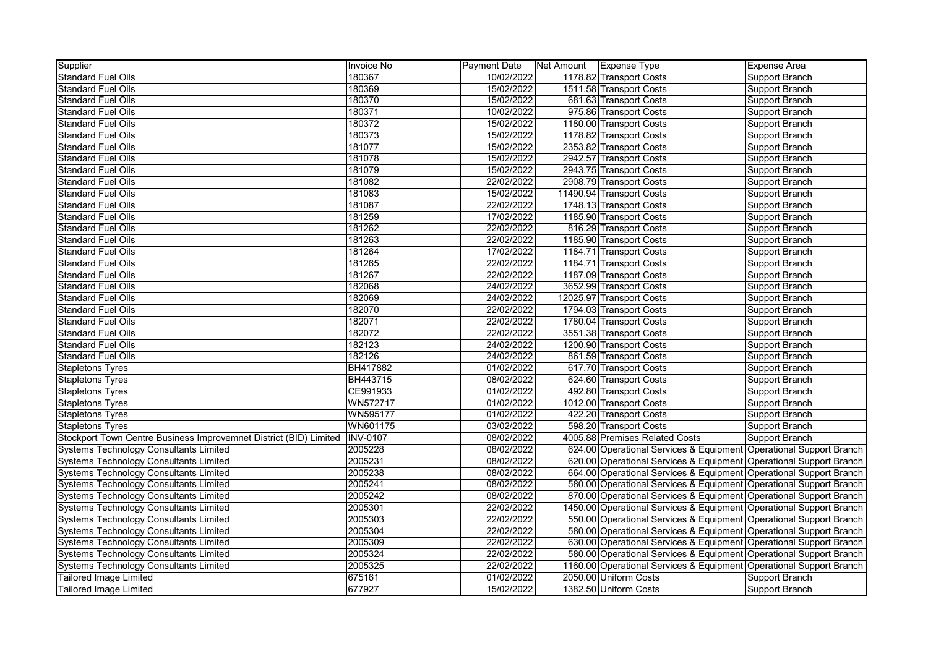| Supplier                                                          | <b>Invoice No</b> | Payment Date Net Amount Expense Type |                                                                     | <b>Expense Area</b>   |
|-------------------------------------------------------------------|-------------------|--------------------------------------|---------------------------------------------------------------------|-----------------------|
| <b>Standard Fuel Oils</b>                                         | 180367            | 10/02/2022                           | 1178.82 Transport Costs                                             | Support Branch        |
| <b>Standard Fuel Oils</b>                                         | 180369            | 15/02/2022                           | 1511.58 Transport Costs                                             | Support Branch        |
| Standard Fuel Oils                                                | 180370            | 15/02/2022                           | 681.63 Transport Costs                                              | Support Branch        |
| <b>Standard Fuel Oils</b>                                         | 180371            | 10/02/2022                           | 975.86 Transport Costs                                              | Support Branch        |
| Standard Fuel Oils                                                | 180372            | 15/02/2022                           | 1180.00 Transport Costs                                             | Support Branch        |
| <b>Standard Fuel Oils</b>                                         | 180373            | 15/02/2022                           | 1178.82 Transport Costs                                             | Support Branch        |
| Standard Fuel Oils                                                | 181077            | 15/02/2022                           | 2353.82 Transport Costs                                             | Support Branch        |
| <b>Standard Fuel Oils</b>                                         | 181078            | 15/02/2022                           | 2942.57 Transport Costs                                             | Support Branch        |
| <b>Standard Fuel Oils</b>                                         | 181079            | 15/02/2022                           | 2943.75 Transport Costs                                             | Support Branch        |
| <b>Standard Fuel Oils</b>                                         | 181082            | 22/02/2022                           | 2908.79 Transport Costs                                             | Support Branch        |
| Standard Fuel Oils                                                | 181083            | 15/02/2022                           | 11490.94 Transport Costs                                            | Support Branch        |
| <b>Standard Fuel Oils</b>                                         | 181087            | 22/02/2022                           | 1748.13 Transport Costs                                             | Support Branch        |
| Standard Fuel Oils                                                | 181259            | 17/02/2022                           | 1185.90 Transport Costs                                             | Support Branch        |
| <b>Standard Fuel Oils</b>                                         | 181262            | 22/02/2022                           | 816.29 Transport Costs                                              | Support Branch        |
| <b>Standard Fuel Oils</b>                                         | 181263            | 22/02/2022                           | 1185.90 Transport Costs                                             | Support Branch        |
| <b>Standard Fuel Oils</b>                                         | 181264            | 17/02/2022                           | 1184.71 Transport Costs                                             | <b>Support Branch</b> |
| Standard Fuel Oils                                                | 181265            | 22/02/2022                           | 1184.71 Transport Costs                                             | Support Branch        |
| <b>Standard Fuel Oils</b>                                         | 181267            | 22/02/2022                           | 1187.09 Transport Costs                                             | Support Branch        |
| Standard Fuel Oils                                                | 182068            | 24/02/2022                           | 3652.99 Transport Costs                                             | Support Branch        |
| <b>Standard Fuel Oils</b>                                         | 182069            | 24/02/2022                           | 12025.97 Transport Costs                                            | Support Branch        |
| Standard Fuel Oils                                                | 182070            | 22/02/2022                           | 1794.03 Transport Costs                                             | Support Branch        |
| <b>Standard Fuel Oils</b>                                         | 182071            | 22/02/2022                           | 1780.04 Transport Costs                                             | Support Branch        |
| <b>Standard Fuel Oils</b>                                         | 182072            | 22/02/2022                           | 3551.38 Transport Costs                                             | Support Branch        |
| <b>Standard Fuel Oils</b>                                         | 182123            | 24/02/2022                           | 1200.90 Transport Costs                                             | Support Branch        |
| <b>Standard Fuel Oils</b>                                         | 182126            | 24/02/2022                           | 861.59 Transport Costs                                              | Support Branch        |
| <b>Stapletons Tyres</b>                                           | BH417882          | 01/02/2022                           | 617.70 Transport Costs                                              | Support Branch        |
| <b>Stapletons Tyres</b>                                           | BH443715          | 08/02/2022                           | 624.60 Transport Costs                                              | Support Branch        |
| <b>Stapletons Tyres</b>                                           | CE991933          | 01/02/2022                           | 492.80 Transport Costs                                              | Support Branch        |
| <b>Stapletons Tyres</b>                                           | WN572717          | 01/02/2022                           | 1012.00 Transport Costs                                             | Support Branch        |
| <b>Stapletons Tyres</b>                                           | <b>WN595177</b>   | 01/02/2022                           | 422.20 Transport Costs                                              | Support Branch        |
| <b>Stapletons Tyres</b>                                           | WN601175          | 03/02/2022                           | 598.20 Transport Costs                                              | Support Branch        |
| Stockport Town Centre Business Improvemnet District (BID) Limited | <b>INV-0107</b>   | 08/02/2022                           | 4005.88 Premises Related Costs                                      | Support Branch        |
| <b>Systems Technology Consultants Limited</b>                     | 2005228           | 08/02/2022                           | 624.00 Operational Services & Equipment Operational Support Branch  |                       |
| Systems Technology Consultants Limited                            | 2005231           | 08/02/2022                           | 620.00 Operational Services & Equipment Operational Support Branch  |                       |
| <b>Systems Technology Consultants Limited</b>                     | 2005238           | 08/02/2022                           | 664.00 Operational Services & Equipment Operational Support Branch  |                       |
| <b>Systems Technology Consultants Limited</b>                     | 2005241           | 08/02/2022                           | 580.00 Operational Services & Equipment Operational Support Branch  |                       |
| <b>Systems Technology Consultants Limited</b>                     | 2005242           | 08/02/2022                           | 870.00 Operational Services & Equipment Operational Support Branch  |                       |
| Systems Technology Consultants Limited                            | 2005301           | 22/02/2022                           | 1450.00 Operational Services & Equipment Operational Support Branch |                       |
| <b>Systems Technology Consultants Limited</b>                     | 2005303           | 22/02/2022                           | 550.00 Operational Services & Equipment Operational Support Branch  |                       |
| <b>Systems Technology Consultants Limited</b>                     | 2005304           | 22/02/2022                           | 580.00 Operational Services & Equipment Operational Support Branch  |                       |
| <b>Systems Technology Consultants Limited</b>                     | 2005309           | 22/02/2022                           | 630.00 Operational Services & Equipment Operational Support Branch  |                       |
| <b>Systems Technology Consultants Limited</b>                     | 2005324           | 22/02/2022                           | 580.00 Operational Services & Equipment Operational Support Branch  |                       |
| <b>Systems Technology Consultants Limited</b>                     | 2005325           | 22/02/2022                           | 1160.00 Operational Services & Equipment Operational Support Branch |                       |
| <b>Tailored Image Limited</b>                                     | 675161            | 01/02/2022                           | 2050.00 Uniform Costs                                               | Support Branch        |
| Tailored Image Limited                                            | 677927            | 15/02/2022                           | 1382.50 Uniform Costs                                               | Support Branch        |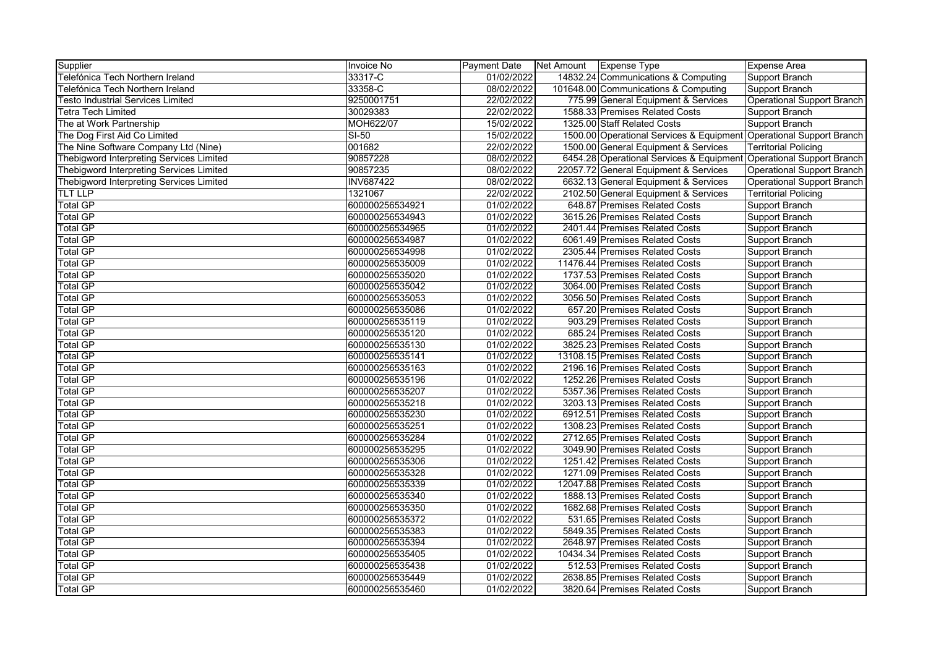| Supplier                                 | Invoice No       | <b>Payment Date</b> | Net Amount Expense Type |                                                                     | Expense Area                      |
|------------------------------------------|------------------|---------------------|-------------------------|---------------------------------------------------------------------|-----------------------------------|
| Telefónica Tech Northern Ireland         | 33317-C          | 01/02/2022          |                         | 14832.24 Communications & Computing                                 | Support Branch                    |
| Telefónica Tech Northern Ireland         | 33358-C          | 08/02/2022          |                         | 101648.00 Communications & Computing                                | Support Branch                    |
| Testo Industrial Services Limited        | 9250001751       | 22/02/2022          |                         | 775.99 General Equipment & Services                                 | <b>Operational Support Branch</b> |
| Tetra Tech Limited                       | 30029383         | 22/02/2022          |                         | 1588.33 Premises Related Costs                                      | Support Branch                    |
| The at Work Partnership                  | MOH622/07        | 15/02/2022          |                         | 1325.00 Staff Related Costs                                         | Support Branch                    |
| The Dog First Aid Co Limited             | $SI-50$          | 15/02/2022          |                         | 1500.00 Operational Services & Equipment Operational Support Branch |                                   |
| The Nine Software Company Ltd (Nine)     | 001682           | 22/02/2022          |                         | 1500.00 General Equipment & Services                                | <b>Territorial Policing</b>       |
| Thebigword Interpreting Services Limited | 90857228         | 08/02/2022          |                         | 6454.28 Operational Services & Equipment Operational Support Branch |                                   |
| Thebigword Interpreting Services Limited | 90857235         | 08/02/2022          |                         | 22057.72 General Equipment & Services                               | <b>Operational Support Branch</b> |
| Thebigword Interpreting Services Limited | <b>INV687422</b> | 08/02/2022          |                         | 6632.13 General Equipment & Services                                | Operational Support Branch        |
| <b>TLT LLP</b>                           | 1321067          | 22/02/2022          |                         | 2102.50 General Equipment & Services                                | <b>Territorial Policing</b>       |
| <b>Total GP</b>                          | 600000256534921  | 01/02/2022          |                         | 648.87 Premises Related Costs                                       | Support Branch                    |
| Total GP                                 | 600000256534943  | 01/02/2022          |                         | 3615.26 Premises Related Costs                                      | Support Branch                    |
| <b>Total GP</b>                          | 600000256534965  | 01/02/2022          |                         | 2401.44 Premises Related Costs                                      | Support Branch                    |
| <b>Total GP</b>                          | 600000256534987  | 01/02/2022          |                         | 6061.49 Premises Related Costs                                      | Support Branch                    |
| <b>Total GP</b>                          | 600000256534998  | 01/02/2022          |                         | 2305.44 Premises Related Costs                                      | Support Branch                    |
| <b>Total GP</b>                          | 600000256535009  | 01/02/2022          |                         | 11476.44 Premises Related Costs                                     | Support Branch                    |
| <b>Total GP</b>                          | 600000256535020  | 01/02/2022          |                         | 1737.53 Premises Related Costs                                      | Support Branch                    |
| <b>Total GP</b>                          | 600000256535042  | 01/02/2022          |                         | 3064.00 Premises Related Costs                                      | Support Branch                    |
| <b>Total GP</b>                          | 600000256535053  | 01/02/2022          |                         | 3056.50 Premises Related Costs                                      | Support Branch                    |
| <b>Total GP</b>                          | 600000256535086  | 01/02/2022          |                         | 657.20 Premises Related Costs                                       | Support Branch                    |
| <b>Total GP</b>                          | 600000256535119  | 01/02/2022          |                         | 903.29 Premises Related Costs                                       | Support Branch                    |
| <b>Total GP</b>                          | 600000256535120  | 01/02/2022          |                         | 685.24 Premises Related Costs                                       | Support Branch                    |
| Total GP                                 | 600000256535130  | 01/02/2022          |                         | 3825.23 Premises Related Costs                                      | Support Branch                    |
| <b>Total GP</b>                          | 600000256535141  | 01/02/2022          |                         | 13108.15 Premises Related Costs                                     | Support Branch                    |
| <b>Total GP</b>                          | 600000256535163  | 01/02/2022          |                         | 2196.16 Premises Related Costs                                      | Support Branch                    |
| <b>Total GP</b>                          | 600000256535196  | 01/02/2022          |                         | 1252.26 Premises Related Costs                                      | Support Branch                    |
| <b>Total GP</b>                          | 600000256535207  | 01/02/2022          |                         | 5357.36 Premises Related Costs                                      | Support Branch                    |
| <b>Total GP</b>                          | 600000256535218  | 01/02/2022          |                         | 3203.13 Premises Related Costs                                      | Support Branch                    |
| <b>Total GP</b>                          | 600000256535230  | 01/02/2022          |                         | 6912.51 Premises Related Costs                                      | Support Branch                    |
| <b>Total GP</b>                          | 600000256535251  | 01/02/2022          |                         | 1308.23 Premises Related Costs                                      | Support Branch                    |
| <b>Total GP</b>                          | 600000256535284  | 01/02/2022          |                         | 2712.65 Premises Related Costs                                      | Support Branch                    |
| <b>Total GP</b>                          | 600000256535295  | 01/02/2022          |                         | 3049.90 Premises Related Costs                                      | Support Branch                    |
| <b>Total GP</b>                          | 600000256535306  | 01/02/2022          |                         | 1251.42 Premises Related Costs                                      | Support Branch                    |
| <b>Total GP</b>                          | 600000256535328  | 01/02/2022          |                         | 1271.09 Premises Related Costs                                      | Support Branch                    |
| <b>Total GP</b>                          | 600000256535339  | 01/02/2022          |                         | 12047.88 Premises Related Costs                                     | Support Branch                    |
| <b>Total GP</b>                          | 600000256535340  | 01/02/2022          |                         | 1888.13 Premises Related Costs                                      | Support Branch                    |
| <b>Total GP</b>                          | 600000256535350  | 01/02/2022          |                         | 1682.68 Premises Related Costs                                      | Support Branch                    |
| <b>Total GP</b>                          | 600000256535372  | 01/02/2022          |                         | 531.65 Premises Related Costs                                       | Support Branch                    |
| <b>Total GP</b>                          | 600000256535383  | 01/02/2022          |                         | 5849.35 Premises Related Costs                                      | Support Branch                    |
| <b>Total GP</b>                          | 600000256535394  | 01/02/2022          |                         | 2648.97 Premises Related Costs                                      | Support Branch                    |
| <b>Total GP</b>                          | 600000256535405  | 01/02/2022          |                         | 10434.34 Premises Related Costs                                     | Support Branch                    |
| <b>Total GP</b>                          | 600000256535438  | 01/02/2022          |                         | 512.53 Premises Related Costs                                       | Support Branch                    |
| <b>Total GP</b>                          | 600000256535449  | 01/02/2022          |                         | 2638.85 Premises Related Costs                                      | <b>Support Branch</b>             |
| <b>Total GP</b>                          | 600000256535460  | 01/02/2022          |                         | 3820.64 Premises Related Costs                                      | Support Branch                    |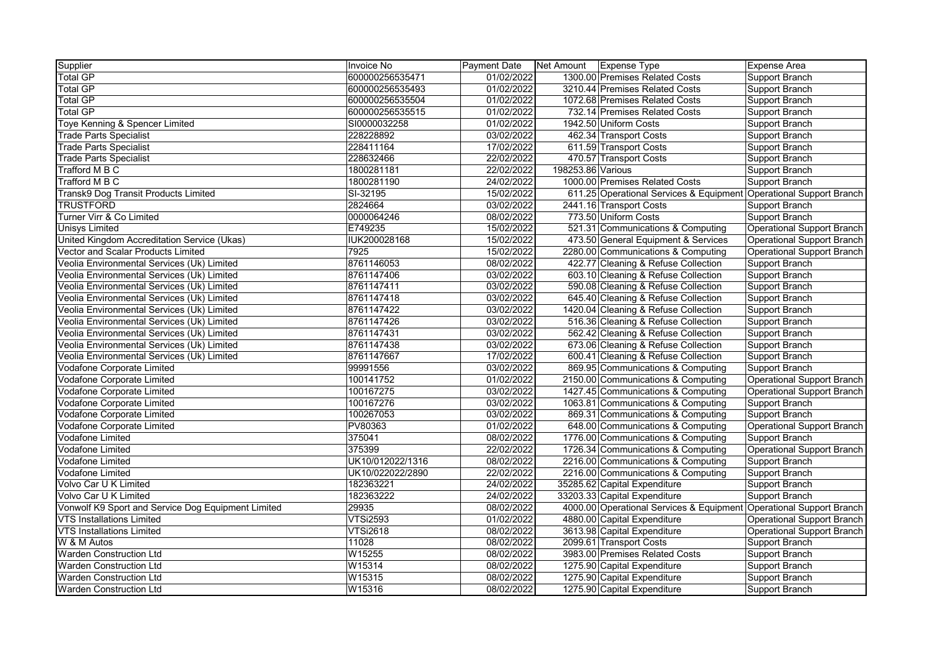| Supplier                                           | Invoice No          | <b>Payment Date</b> |                   | Net Amount   Expense Type                                           | Expense Area                      |
|----------------------------------------------------|---------------------|---------------------|-------------------|---------------------------------------------------------------------|-----------------------------------|
| <b>Total GP</b>                                    | 600000256535471     | 01/02/2022          |                   | 1300.00 Premises Related Costs                                      | Support Branch                    |
| <b>Total GP</b>                                    | 600000256535493     | 01/02/2022          |                   | 3210.44 Premises Related Costs                                      | Support Branch                    |
| <b>Total GP</b>                                    | 600000256535504     | 01/02/2022          |                   | 1072.68 Premises Related Costs                                      | Support Branch                    |
| <b>Total GP</b>                                    | 600000256535515     | 01/02/2022          |                   | 732.14 Premises Related Costs                                       | Support Branch                    |
| Toye Kenning & Spencer Limited                     | SI0000032258        | 01/02/2022          |                   | 1942.50 Uniform Costs                                               | Support Branch                    |
| <b>Trade Parts Specialist</b>                      | 228228892           | 03/02/2022          |                   | 462.34 Transport Costs                                              | Support Branch                    |
| <b>Trade Parts Specialist</b>                      | 228411164           | 17/02/2022          |                   | 611.59 Transport Costs                                              | Support Branch                    |
| <b>Trade Parts Specialist</b>                      | 228632466           | 22/02/2022          |                   | 470.57 Transport Costs                                              | Support Branch                    |
| Trafford M B C                                     | 1800281181          | 22/02/2022          | 198253.86 Various |                                                                     | Support Branch                    |
| Trafford M B C                                     | 1800281190          | 24/02/2022          |                   | 1000.00 Premises Related Costs                                      | Support Branch                    |
| Transk9 Dog Transit Products Limited               | SI-32195            | 15/02/2022          |                   | 611.25 Operational Services & Equipment Operational Support Branch  |                                   |
| <b>TRUSTFORD</b>                                   | 2824664             | 03/02/2022          |                   | 2441.16 Transport Costs                                             | Support Branch                    |
| Turner Virr & Co Limited                           | 0000064246          | 08/02/2022          |                   | 773.50 Uniform Costs                                                | Support Branch                    |
| <b>Unisys Limited</b>                              | E749235             | 15/02/2022          |                   | 521.31 Communications & Computing                                   | Operational Support Branch        |
| United Kingdom Accreditation Service (Ukas)        | <b>IUK200028168</b> | 15/02/2022          |                   | 473.50 General Equipment & Services                                 | <b>Operational Support Branch</b> |
| Vector and Scalar Products Limited                 | 7925                | 15/02/2022          |                   | 2280.00 Communications & Computing                                  | Operational Support Branch        |
| Veolia Environmental Services (Uk) Limited         | 8761146053          | 08/02/2022          |                   | 422.77 Cleaning & Refuse Collection                                 | Support Branch                    |
| Veolia Environmental Services (Uk) Limited         | 8761147406          | 03/02/2022          |                   | 603.10 Cleaning & Refuse Collection                                 | Support Branch                    |
| Veolia Environmental Services (Uk) Limited         | 8761147411          | 03/02/2022          |                   | 590.08 Cleaning & Refuse Collection                                 | Support Branch                    |
| Veolia Environmental Services (Uk) Limited         | 8761147418          | 03/02/2022          |                   | 645.40 Cleaning & Refuse Collection                                 | Support Branch                    |
| Veolia Environmental Services (Uk) Limited         | 8761147422          | 03/02/2022          |                   | 1420.04 Cleaning & Refuse Collection                                | Support Branch                    |
| Veolia Environmental Services (Uk) Limited         | 8761147426          | 03/02/2022          |                   | 516.36 Cleaning & Refuse Collection                                 | Support Branch                    |
| Veolia Environmental Services (Uk) Limited         | 8761147431          | 03/02/2022          |                   | 562.42 Cleaning & Refuse Collection                                 | Support Branch                    |
| Veolia Environmental Services (Uk) Limited         | 8761147438          | 03/02/2022          |                   | 673.06 Cleaning & Refuse Collection                                 | Support Branch                    |
| Veolia Environmental Services (Uk) Limited         | 8761147667          | 17/02/2022          |                   | 600.41 Cleaning & Refuse Collection                                 | Support Branch                    |
| Vodafone Corporate Limited                         | 99991556            | 03/02/2022          |                   | 869.95 Communications & Computing                                   | Support Branch                    |
| Vodafone Corporate Limited                         | 100141752           | 01/02/2022          |                   | 2150.00 Communications & Computing                                  | Operational Support Branch        |
| Vodafone Corporate Limited                         | 100167275           | 03/02/2022          |                   | 1427.45 Communications & Computing                                  | Operational Support Branch        |
| <b>Vodafone Corporate Limited</b>                  | 100167276           | 03/02/2022          |                   | 1063.81 Communications & Computing                                  | Support Branch                    |
| Vodafone Corporate Limited                         | 100267053           | 03/02/2022          |                   | 869.31 Communications & Computing                                   | Support Branch                    |
| Vodafone Corporate Limited                         | PV80363             | 01/02/2022          |                   | 648.00 Communications & Computing                                   | Operational Support Branch        |
| <b>Vodafone Limited</b>                            | 375041              | 08/02/2022          |                   | 1776.00 Communications & Computing                                  | Support Branch                    |
| Vodafone Limited                                   | 375399              | 22/02/2022          |                   | 1726.34 Communications & Computing                                  | Operational Support Branch        |
| <b>Vodafone Limited</b>                            | UK10/012022/1316    | 08/02/2022          |                   | 2216.00 Communications & Computing                                  | Support Branch                    |
| <b>Vodafone Limited</b>                            | UK10/022022/2890    | 22/02/2022          |                   | 2216.00 Communications & Computing                                  | Support Branch                    |
| Volvo Car U K Limited                              | 182363221           | 24/02/2022          |                   | 35285.62 Capital Expenditure                                        | Support Branch                    |
| Volvo Car U K Limited                              | 182363222           | 24/02/2022          |                   | 33203.33 Capital Expenditure                                        | Support Branch                    |
| Vonwolf K9 Sport and Service Dog Equipment Limited | 29935               | 08/02/2022          |                   | 4000.00 Operational Services & Equipment Operational Support Branch |                                   |
| <b>VTS Installations Limited</b>                   | <b>VTSi2593</b>     | 01/02/2022          |                   | 4880.00 Capital Expenditure                                         | Operational Support Branch        |
| VTS Installations Limited                          | <b>VTSi2618</b>     | 08/02/2022          |                   | 3613.98 Capital Expenditure                                         | Operational Support Branch        |
| W & M Autos                                        | 11028               | 08/02/2022          |                   | 2099.61 Transport Costs                                             | Support Branch                    |
| <b>Warden Construction Ltd</b>                     | W15255              | 08/02/2022          |                   | 3983.00 Premises Related Costs                                      | Support Branch                    |
| <b>Warden Construction Ltd</b>                     | W15314              | 08/02/2022          |                   | 1275.90 Capital Expenditure                                         | Support Branch                    |
| <b>Warden Construction Ltd</b>                     | W15315              | 08/02/2022          |                   | 1275.90 Capital Expenditure                                         | Support Branch                    |
| <b>Warden Construction Ltd</b>                     | W15316              | 08/02/2022          |                   | 1275.90 Capital Expenditure                                         | Support Branch                    |